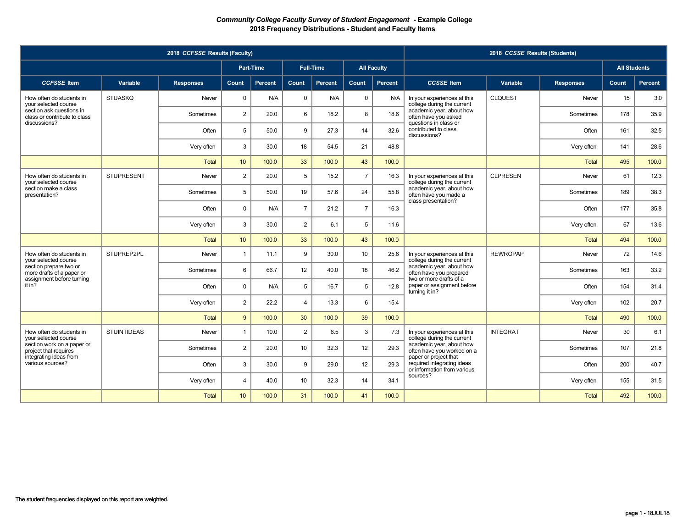|                                                          |                    | 2018 CCFSSE Results (Faculty) |                  |                  |                |                  |                |                    |                                                                                    | 2018 CCSSE Results (Students) |                  |                     |         |
|----------------------------------------------------------|--------------------|-------------------------------|------------------|------------------|----------------|------------------|----------------|--------------------|------------------------------------------------------------------------------------|-------------------------------|------------------|---------------------|---------|
|                                                          |                    |                               |                  | <b>Part-Time</b> |                | <b>Full-Time</b> |                | <b>All Faculty</b> |                                                                                    |                               |                  | <b>All Students</b> |         |
| <b>CCFSSE</b> Item                                       | Variable           | <b>Responses</b>              | <b>Count</b>     | Percent          | Count          | Percent          | <b>Count</b>   | Percent            | <b>CCSSE</b> Item                                                                  | Variable                      | <b>Responses</b> | Count               | Percent |
| How often do students in<br>your selected course         | <b>STUASKQ</b>     | Never                         | $\mathbf{0}$     | N/A              | $\mathbf 0$    | N/A              | $\mathbf 0$    | N/A                | In your experiences at this<br>college during the current                          | <b>CLQUEST</b>                | Never            | 15                  | 3.0     |
| section ask questions in<br>class or contribute to class |                    | Sometimes                     | $\overline{2}$   | 20.0             | 6              | 18.2             | 8              | 18.6               | academic year, about how<br>often have you asked                                   |                               | Sometimes        | 178                 | 35.9    |
| discussions?                                             |                    | Often                         | 5                | 50.0             | 9              | 27.3             | 14             | 32.6               | questions in class or<br>contributed to class<br>discussions?                      |                               | Often            | 161                 | 32.5    |
|                                                          |                    | Very often                    | 3                | 30.0             | 18             | 54.5             | 21             | 48.8               |                                                                                    |                               | Very often       | 141                 | 28.6    |
|                                                          |                    | Total                         | 10               | 100.0            | 33             | 100.0            | 43             | 100.0              |                                                                                    |                               | <b>Total</b>     | 495                 | 100.0   |
| How often do students in<br>your selected course         | <b>STUPRESENT</b>  | Never                         | $\overline{2}$   | 20.0             | 5              | 15.2             | $\overline{7}$ | 16.3               | In your experiences at this<br>college during the current                          | <b>CLPRESEN</b>               | Never            | 61                  | 12.3    |
| section make a class<br>presentation?                    |                    | Sometimes                     | 5                | 50.0             | 19             | 57.6             | 24             | 55.8               | academic year, about how<br>often have you made a                                  |                               | Sometimes        | 189                 | 38.3    |
|                                                          |                    | Often                         | $\Omega$         | N/A              | $\overline{7}$ | 21.2             | $\overline{7}$ | 16.3               | class presentation?                                                                |                               | Often            | 177                 | 35.8    |
|                                                          |                    | Very often                    | 3                | 30.0             | 2              | 6.1              | 5              | 11.6               |                                                                                    |                               | Very often       | 67                  | 13.6    |
|                                                          |                    | <b>Total</b>                  | 10 <sup>°</sup>  | 100.0            | 33             | 100.0            | 43             | 100.0              |                                                                                    |                               | <b>Total</b>     | 494                 | 100.0   |
| How often do students in<br>vour selected course         | STUPREP2PL         | Never                         | $\mathbf{1}$     | 11.1             | 9              | 30.0             | 10             | 25.6               | In your experiences at this<br>college during the current                          | <b>REWROPAP</b>               | Never            | 72                  | 14.6    |
| section prepare two or<br>more drafts of a paper or      |                    | Sometimes                     | 6                | 66.7             | 12             | 40.0             | 18             | 46.2               | academic year, about how<br>often have you prepared                                |                               | Sometimes        | 163                 | 33.2    |
| assignment before turning<br>it in?                      |                    | Often                         | $\Omega$         | N/A              | 5              | 16.7             | 5              | 12.8               | two or more drafts of a<br>paper or assignment before<br>turning it in?            |                               | Often            | 154                 | 31.4    |
|                                                          |                    | Very often                    | $\overline{2}$   | 22.2             | $\overline{4}$ | 13.3             | 6              | 15.4               |                                                                                    |                               | Very often       | 102                 | 20.7    |
|                                                          |                    | <b>Total</b>                  | 9                | 100.0            | 30             | 100.0            | 39             | 100.0              |                                                                                    |                               | <b>Total</b>     | 490                 | 100.0   |
| How often do students in<br>vour selected course         | <b>STUINTIDEAS</b> | Never                         | $\mathbf{1}$     | 10.0             | $\overline{2}$ | 6.5              | 3              | 7.3                | In your experiences at this<br>college during the current                          | <b>INTEGRAT</b>               | Never            | 30                  | 6.1     |
| section work on a paper or<br>project that requires      |                    | Sometimes                     | $\overline{2}$   | 20.0             | 10             | 32.3             | 12             | 29.3               | academic year, about how<br>often have you worked on a                             |                               | Sometimes        | 107                 | 21.8    |
| integrating ideas from<br>various sources?               |                    | Often                         | 3                | 30.0             | 9              | 29.0             | 12             | 29.3               | paper or project that<br>required integrating ideas<br>or information from various |                               | Often            | 200                 | 40.7    |
|                                                          |                    | Very often                    | $\overline{4}$   | 40.0             | 10             | 32.3             | 14             | 34.1               | sources?                                                                           |                               | Very often       | 155                 | 31.5    |
|                                                          |                    | <b>Total</b>                  | 10 <sup>10</sup> | 100.0            | 31             | 100.0            | 41             | 100.0              |                                                                                    |                               | <b>Total</b>     | 492                 | 100.0   |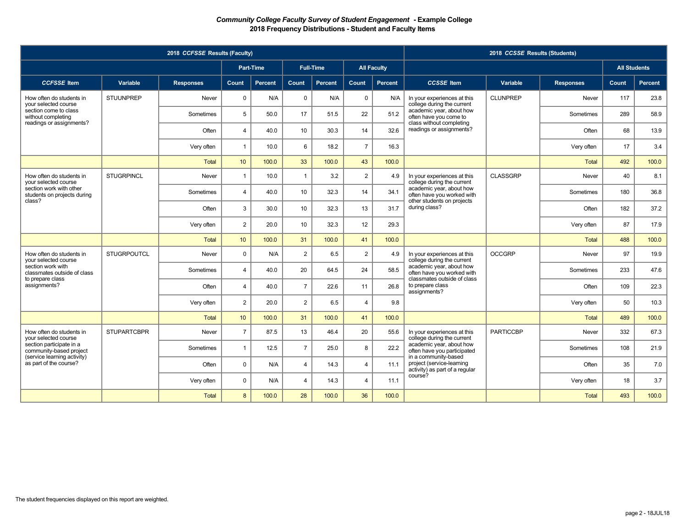|                                                        |                    | 2018 CCFSSE Results (Faculty) |                |                  |                |                  |                |                    |                                                                                     | 2018 CCSSE Results (Students) |                  |                     |         |
|--------------------------------------------------------|--------------------|-------------------------------|----------------|------------------|----------------|------------------|----------------|--------------------|-------------------------------------------------------------------------------------|-------------------------------|------------------|---------------------|---------|
|                                                        |                    |                               |                | <b>Part-Time</b> |                | <b>Full-Time</b> |                | <b>All Faculty</b> |                                                                                     |                               |                  | <b>All Students</b> |         |
| <b>CCFSSE</b> Item                                     | Variable           | <b>Responses</b>              | Count          | Percent          | Count          | <b>Percent</b>   | Count          | Percent            | <b>CCSSE</b> Item                                                                   | Variable                      | <b>Responses</b> | Count               | Percent |
| How often do students in<br>your selected course       | <b>STUUNPREP</b>   | Never                         | $\mathbf 0$    | N/A              | $\mathbf 0$    | N/A              | $\mathbf 0$    | N/A                | In your experiences at this<br>college during the current                           | <b>CLUNPREP</b>               | Never            | 117                 | 23.8    |
| section come to class<br>without completing            |                    | Sometimes                     | 5              | 50.0             | 17             | 51.5             | 22             | 51.2               | academic year, about how<br>often have you come to                                  |                               | Sometimes        | 289                 | 58.9    |
| readings or assignments?                               |                    | Often                         | $\overline{4}$ | 40.0             | 10             | 30.3             | 14             | 32.6               | class without completing<br>readings or assignments?                                |                               | Often            | 68                  | 13.9    |
|                                                        |                    | Very often                    | $\mathbf{1}$   | 10.0             | 6              | 18.2             | $\overline{7}$ | 16.3               |                                                                                     |                               | Very often       | 17                  | 3.4     |
|                                                        |                    | <b>Total</b>                  | 10             | 100.0            | 33             | 100.0            | 43             | 100.0              |                                                                                     |                               | <b>Total</b>     | 492                 | 100.0   |
| How often do students in<br>vour selected course       | <b>STUGRPINCL</b>  | Never                         | $\overline{1}$ | 10.0             | $\overline{1}$ | 3.2              | $\overline{2}$ | 4.9                | In your experiences at this<br>college during the current                           | <b>CLASSGRP</b>               | Never            | 40                  | 8.1     |
| section work with other<br>students on projects during |                    | Sometimes                     | $\overline{4}$ | 40.0             | 10             | 32.3             | 14             | 34.1               | academic year, about how<br>often have you worked with                              |                               | Sometimes        | 180                 | 36.8    |
| class?                                                 |                    | Often                         | 3              | 30.0             | 10             | 32.3             | 13             | 31.7               | other students on projects<br>during class?                                         |                               | Often            | 182                 | 37.2    |
|                                                        |                    | Very often                    | $\overline{2}$ | 20.0             | 10             | 32.3             | 12             | 29.3               |                                                                                     |                               | Very often       | 87                  | 17.9    |
|                                                        |                    | <b>Total</b>                  | 10             | 100.0            | 31             | 100.0            | 41             | 100.0              |                                                                                     |                               | Total            | 488                 | 100.0   |
| How often do students in<br>vour selected course       | <b>STUGRPOUTCL</b> | Never                         | $\Omega$       | N/A              | 2              | 6.5              | $\overline{2}$ | 4.9                | In your experiences at this<br>college during the current                           | <b>OCCGRP</b>                 | Never            | 97                  | 19.9    |
| section work with<br>classmates outside of class       |                    | Sometimes                     | $\overline{4}$ | 40.0             | 20             | 64.5             | 24             | 58.5               | academic year, about how<br>often have you worked with                              |                               | Sometimes        | 233                 | 47.6    |
| to prepare class<br>assignments?                       |                    | Often                         | $\overline{4}$ | 40.0             | $\overline{7}$ | 22.6             | 11             | 26.8               | classmates outside of class<br>to prepare class<br>assignments?                     |                               | Often            | 109                 | 22.3    |
|                                                        |                    | Very often                    | $\overline{2}$ | 20.0             | 2              | 6.5              | 4              | 9.8                |                                                                                     |                               | Very often       | 50                  | 10.3    |
|                                                        |                    | <b>Total</b>                  | 10             | 100.0            | 31             | 100.0            | 41             | 100.0              |                                                                                     |                               | <b>Total</b>     | 489                 | 100.0   |
| How often do students in<br>vour selected course       | <b>STUPARTCBPR</b> | Never                         | $\overline{7}$ | 87.5             | 13             | 46.4             | 20             | 55.6               | In your experiences at this<br>college during the current                           | <b>PARTICCBP</b>              | Never            | 332                 | 67.3    |
| section participate in a<br>community-based project    |                    | Sometimes                     | $\mathbf{1}$   | 12.5             | $\overline{7}$ | 25.0             | 8              | 22.2               | academic year, about how<br>often have you participated                             |                               | Sometimes        | 108                 | 21.9    |
| (service learning activity)<br>as part of the course?  |                    | Often                         | $\Omega$       | N/A              | $\overline{4}$ | 14.3             | $\overline{4}$ | 11.1               | in a community-based<br>project (service-learning<br>activity) as part of a regular |                               | Often            | 35                  | 7.0     |
|                                                        |                    | Very often                    | $\Omega$       | N/A              | $\overline{4}$ | 14.3             | $\overline{4}$ | 11.1               | course?                                                                             |                               | Very often       | 18                  | 3.7     |
|                                                        |                    | <b>Total</b>                  | 8              | 100.0            | 28             | 100.0            | 36             | 100.0              |                                                                                     |                               | Total            | 493                 | 100.0   |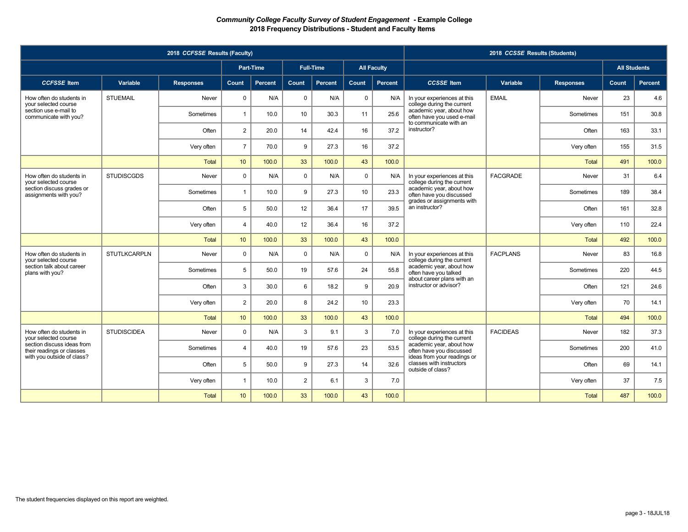|                                                                                       |                     | 2018 CCFSSE Results (Faculty) |                  |           |                |                  |             |                    |                                                                                     | 2018 CCSSE Results (Students) |                  |                     |                |
|---------------------------------------------------------------------------------------|---------------------|-------------------------------|------------------|-----------|----------------|------------------|-------------|--------------------|-------------------------------------------------------------------------------------|-------------------------------|------------------|---------------------|----------------|
|                                                                                       |                     |                               |                  | Part-Time |                | <b>Full-Time</b> |             | <b>All Faculty</b> |                                                                                     |                               |                  | <b>All Students</b> |                |
| <b>CCFSSE</b> Item                                                                    | Variable            | <b>Responses</b>              | Count            | Percent   | Count          | Percent          | Count       | Percent            | <b>CCSSE</b> Item                                                                   | Variable                      | <b>Responses</b> | Count               | <b>Percent</b> |
| How often do students in<br>your selected course                                      | <b>STUEMAIL</b>     | Never                         | $\Omega$         | N/A       | $\mathbf 0$    | N/A              | $\mathbf 0$ | N/A                | In your experiences at this<br>college during the current                           | <b>EMAIL</b>                  | Never            | 23                  | 4.6            |
| section use e-mail to<br>communicate with you?                                        |                     | Sometimes                     | $\mathbf{1}$     | 10.0      | 10             | 30.3             | 11          | 25.6               | academic year, about how<br>often have you used e-mail                              |                               | Sometimes        | 151                 | 30.8           |
|                                                                                       |                     | Often                         | $\overline{2}$   | 20.0      | 14             | 42.4             | 16          | 37.2               | to communicate with an<br>instructor?                                               |                               | Often            | 163                 | 33.1           |
|                                                                                       |                     | Very often                    | $\overline{7}$   | 70.0      | 9              | 27.3             | 16          | 37.2               |                                                                                     |                               | Very often       | 155                 | 31.5           |
|                                                                                       |                     | <b>Total</b>                  | 10               | 100.0     | 33             | 100.0            | 43          | 100.0              |                                                                                     |                               | Total            | 491                 | 100.0          |
| How often do students in<br>vour selected course                                      | <b>STUDISCGDS</b>   | Never                         | $\Omega$         | N/A       | $\mathbf 0$    | N/A              | $\mathbf 0$ | N/A                | In your experiences at this<br>college during the current                           | <b>FACGRADE</b>               | Never            | 31                  | 6.4            |
| section discuss grades or<br>assignments with you?                                    |                     | Sometimes                     | $\mathbf{1}$     | 10.0      | 9              | 27.3             | 10          | 23.3               | academic year, about how<br>often have you discussed                                |                               | Sometimes        | 189                 | 38.4           |
|                                                                                       |                     | Often                         | 5                | 50.0      | 12             | 36.4             | 17          | 39.5               | grades or assignments with<br>an instructor?                                        |                               | Often            | 161                 | 32.8           |
|                                                                                       |                     | Very often                    | $\overline{4}$   | 40.0      | 12             | 36.4             | 16          | 37.2               |                                                                                     |                               | Very often       | 110                 | 22.4           |
|                                                                                       |                     | <b>Total</b>                  | 10               | 100.0     | 33             | 100.0            | 43          | 100.0              |                                                                                     |                               | Total            | 492                 | 100.0          |
| How often do students in<br>vour selected course                                      | <b>STUTLKCARPLN</b> | Never                         | $\Omega$         | N/A       | $\mathbf 0$    | N/A              | $\mathbf 0$ | N/A                | In your experiences at this<br>college during the current                           | <b>FACPLANS</b>               | Never            | 83                  | 16.8           |
| section talk about career<br>plans with you?                                          |                     | Sometimes                     | 5                | 50.0      | 19             | 57.6             | 24          | 55.8               | academic year, about how<br>often have you talked                                   |                               | Sometimes        | 220                 | 44.5           |
|                                                                                       |                     | Often                         | 3                | 30.0      | 6              | 18.2             | 9           | 20.9               | about career plans with an<br>instructor or advisor?                                |                               | Often            | 121                 | 24.6           |
|                                                                                       |                     | Very often                    | $\overline{2}$   | 20.0      | 8              | 24.2             | 10          | 23.3               |                                                                                     |                               | Very often       | 70                  | 14.1           |
|                                                                                       |                     | Total                         | 10 <sup>10</sup> | 100.0     | 33             | 100.0            | 43          | 100.0              |                                                                                     |                               | Total            | 494                 | 100.0          |
| How often do students in<br>vour selected course                                      | <b>STUDISCIDEA</b>  | Never                         | $\Omega$         | N/A       | 3              | 9.1              | 3           | 7.0                | In your experiences at this<br>college during the current                           | <b>FACIDEAS</b>               | Never            | 182                 | 37.3           |
| section discuss ideas from<br>their readings or classes<br>with you outside of class? |                     | Sometimes                     | $\overline{4}$   | 40.0      | 19             | 57.6             | 23          | 53.5               | academic year, about how<br>often have you discussed<br>ideas from your readings or |                               | Sometimes        | 200                 | 41.0           |
|                                                                                       |                     | Often                         | 5                | 50.0      | 9              | 27.3             | 14          | 32.6               | classes with instructors<br>outside of class?                                       |                               | Often            | 69                  | 14.1           |
|                                                                                       |                     | Very often                    | $\overline{1}$   | 10.0      | $\overline{2}$ | 6.1              | 3           | 7.0                |                                                                                     |                               | Very often       | 37                  | 7.5            |
|                                                                                       |                     | <b>Total</b>                  | 10 <sup>1</sup>  | 100.0     | 33             | 100.0            | 43          | 100.0              |                                                                                     |                               | <b>Total</b>     | 487                 | 100.0          |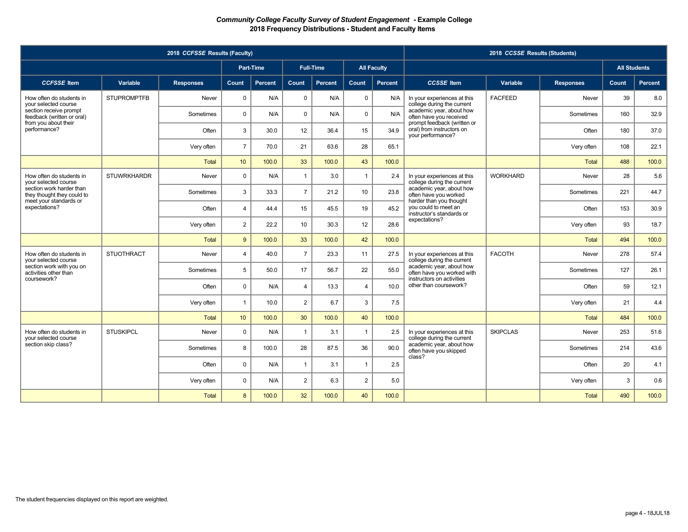|                                                        |                    | 2018 CCFSSE Results (Faculty) |                 |                  |                |                  |                |                    |                                                                               | 2018 CCSSE Results (Students) |                  |                     |         |
|--------------------------------------------------------|--------------------|-------------------------------|-----------------|------------------|----------------|------------------|----------------|--------------------|-------------------------------------------------------------------------------|-------------------------------|------------------|---------------------|---------|
|                                                        |                    |                               |                 | <b>Part-Time</b> |                | <b>Full-Time</b> |                | <b>All Faculty</b> |                                                                               |                               |                  | <b>All Students</b> |         |
| <b>CCFSSE</b> Item                                     | Variable           | <b>Responses</b>              | <b>Count</b>    | Percent          | <b>Count</b>   | Percent          | Count          | Percent            | <b>CCSSE</b> Item                                                             | Variable                      | <b>Responses</b> | Count               | Percent |
| How often do students in<br>your selected course       | <b>STUPROMPTFB</b> | Never                         | $\mathbf{0}$    | N/A              | $\mathbf 0$    | N/A              | $\mathbf 0$    | N/A                | In your experiences at this<br>college during the current                     | <b>FACFEED</b>                | Never            | 39                  | 8.0     |
| section receive prompt<br>feedback (written or oral)   |                    | Sometimes                     | $\Omega$        | N/A              | $\Omega$       | N/A              | $\mathbf 0$    | N/A                | academic year, about how<br>often have you received                           |                               | Sometimes        | 160                 | 32.9    |
| from you about their<br>performance?                   |                    | Often                         | 3               | 30.0             | 12             | 36.4             | 15             | 34.9               | prompt feedback (written or<br>oral) from instructors on<br>your performance? |                               | Often            | 180                 | 37.0    |
|                                                        |                    | Very often                    | $\overline{7}$  | 70.0             | 21             | 63.6             | 28             | 65.1               |                                                                               |                               | Very often       | 108                 | 22.1    |
|                                                        |                    | Total                         | 10              | 100.0            | 33             | 100.0            | 43             | 100.0              |                                                                               |                               | <b>Total</b>     | 488                 | 100.0   |
| How often do students in<br>your selected course       | <b>STUWRKHARDR</b> | Never                         | $\mathbf 0$     | N/A              | $\overline{1}$ | 3.0              | $\overline{1}$ | 2.4                | In your experiences at this<br>college during the current                     | <b>WORKHARD</b>               | Never            | 28                  | 5.6     |
| section work harder than<br>they thought they could to |                    | Sometimes                     | 3               | 33.3             | $\overline{7}$ | 21.2             | 10             | 23.8               | academic year, about how<br>often have you worked                             |                               | Sometimes        | 221                 | 44.7    |
| meet your standards or<br>expectations?                |                    | Often                         | $\overline{4}$  | 44.4             | 15             | 45.5             | 19             | 45.2               | harder than you thought<br>you could to meet an<br>instructor's standards or  |                               | Often            | 153                 | 30.9    |
|                                                        |                    | Very often                    | $\overline{2}$  | 22.2             | 10             | 30.3             | 12             | 28.6               | expectations?                                                                 |                               | Very often       | 93                  | 18.7    |
|                                                        |                    | <b>Total</b>                  | 9               | 100.0            | 33             | 100.0            | 42             | 100.0              |                                                                               |                               | <b>Total</b>     | 494                 | 100.0   |
| How often do students in<br>vour selected course       | <b>STUOTHRACT</b>  | Never                         | $\overline{4}$  | 40.0             | $\overline{7}$ | 23.3             | 11             | 27.5               | In your experiences at this<br>college during the current                     | <b>FACOTH</b>                 | Never            | 278                 | 57.4    |
| section work with you on<br>activities other than      |                    | Sometimes                     | 5               | 50.0             | 17             | 56.7             | 22             | 55.0               | academic year, about how<br>often have you worked with                        |                               | Sometimes        | 127                 | 26.1    |
| coursework?                                            |                    | Often                         | $\Omega$        | N/A              | $\overline{4}$ | 13.3             | $\overline{4}$ | 10.0               | instructors on activities<br>other than coursework?                           |                               | Often            | 59                  | 12.1    |
|                                                        |                    | Very often                    | $\mathbf{1}$    | 10.0             | $\overline{2}$ | 6.7              | $\mathbf{3}$   | 7.5                |                                                                               |                               | Very often       | 21                  | 4.4     |
|                                                        |                    | <b>Total</b>                  | 10 <sup>1</sup> | 100.0            | 30             | 100.0            | 40             | 100.0              |                                                                               |                               | <b>Total</b>     | 484                 | 100.0   |
| How often do students in<br>your selected course       | <b>STUSKIPCL</b>   | Never                         | $\Omega$        | N/A              | $\overline{1}$ | 3.1              | $\overline{1}$ | 2.5                | In your experiences at this<br>college during the current                     | <b>SKIPCLAS</b>               | Never            | 253                 | 51.6    |
| section skip class?                                    |                    | Sometimes                     | 8               | 100.0            | 28             | 87.5             | 36             | 90.0               | academic year, about how<br>often have you skipped                            |                               | Sometimes        | 214                 | 43.6    |
|                                                        |                    | Often                         | $\Omega$        | N/A              | $\overline{1}$ | 3.1              | $\overline{1}$ | 2.5                | class?                                                                        |                               | Often            | 20                  | 4.1     |
|                                                        |                    | Very often                    | $\mathbf 0$     | N/A              | $\overline{2}$ | 6.3              | $\overline{2}$ | 5.0                |                                                                               |                               | Very often       | 3                   | 0.6     |
|                                                        |                    | <b>Total</b>                  | 8               | 100.0            | 32             | 100.0            | 40             | 100.0              |                                                                               |                               | <b>Total</b>     | 490                 | 100.0   |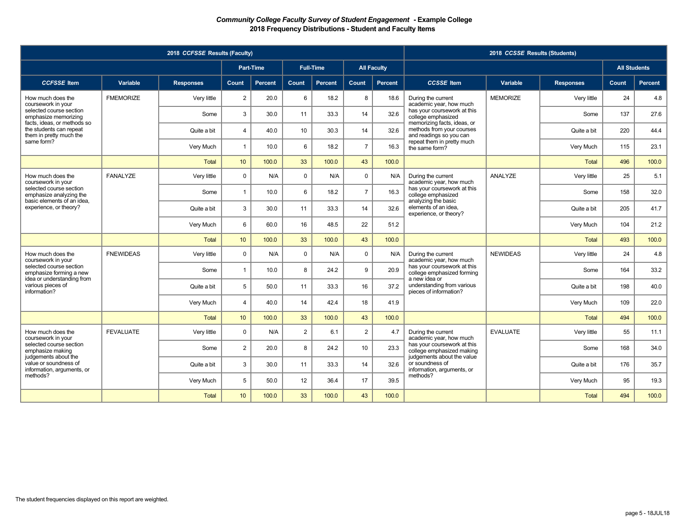|                                                                                   |                  | 2018 CCFSSE Results (Faculty) |                 |                |                |                  |                |                    |                                                                                     | 2018 CCSSE Results (Students) |                  |                     |                |
|-----------------------------------------------------------------------------------|------------------|-------------------------------|-----------------|----------------|----------------|------------------|----------------|--------------------|-------------------------------------------------------------------------------------|-------------------------------|------------------|---------------------|----------------|
|                                                                                   |                  |                               |                 | Part-Time      |                | <b>Full-Time</b> |                | <b>All Faculty</b> |                                                                                     |                               |                  | <b>All Students</b> |                |
| <b>CCFSSE</b> Item                                                                | Variable         | <b>Responses</b>              | Count           | <b>Percent</b> | Count          | <b>Percent</b>   | Count          | <b>Percent</b>     | <b>CCSSE</b> Item                                                                   | Variable                      | <b>Responses</b> | Count               | <b>Percent</b> |
| How much does the<br>coursework in your                                           | <b>FMEMORIZE</b> | Very little                   | $\overline{2}$  | 20.0           | 6              | 18.2             | 8              | 18.6               | During the current<br>academic year, how much                                       | <b>MEMORIZE</b>               | Very little      | 24                  | 4.8            |
| selected course section<br>emphasize memorizing                                   |                  | Some                          | 3               | 30.0           | 11             | 33.3             | 14             | 32.6               | has your coursework at this<br>college emphasized                                   |                               | Some             | 137                 | 27.6           |
| facts, ideas, or methods so<br>the students can repeat<br>them in pretty much the |                  | Quite a bit                   | $\overline{4}$  | 40.0           | 10             | 30.3             | 14             | 32.6               | memorizing facts, ideas, or<br>methods from your courses<br>and readings so you can |                               | Quite a bit      | 220                 | 44.4           |
| same form?                                                                        |                  | Very Much                     | $\mathbf{1}$    | 10.0           | 6              | 18.2             | $\overline{7}$ | 16.3               | repeat them in pretty much<br>the same form?                                        |                               | Very Much        | 115                 | 23.1           |
|                                                                                   |                  | Total                         | 10 <sup>1</sup> | 100.0          | 33             | 100.0            | 43             | 100.0              |                                                                                     |                               | <b>Total</b>     | 496                 | 100.0          |
| How much does the<br>coursework in your                                           | <b>FANALYZE</b>  | Very little                   | $\Omega$        | N/A            | $\Omega$       | N/A              | $\mathbf 0$    | N/A                | During the current<br>academic year, how much                                       | ANALYZE                       | Very little      | 25                  | 5.1            |
| selected course section<br>emphasize analyzing the                                |                  | Some                          | $\mathbf{1}$    | 10.0           | 6              | 18.2             | $\overline{7}$ | 16.3               | has your coursework at this<br>college emphasized                                   |                               | Some             | 158                 | 32.0           |
| basic elements of an idea,<br>experience, or theory?                              |                  | Quite a bit                   | 3               | 30.0           | 11             | 33.3             | 14             | 32.6               | analyzing the basic<br>elements of an idea,<br>experience, or theory?               |                               | Quite a bit      | 205                 | 41.7           |
|                                                                                   |                  | Very Much                     | 6               | 60.0           | 16             | 48.5             | 22             | 51.2               |                                                                                     |                               | Very Much        | 104                 | 21.2           |
|                                                                                   |                  | <b>Total</b>                  | 10              | 100.0          | 33             | 100.0            | 43             | 100.0              |                                                                                     |                               | <b>Total</b>     | 493                 | 100.0          |
| How much does the<br>coursework in your                                           | <b>FNEWIDEAS</b> | Very little                   | $\Omega$        | N/A            | $\mathbf 0$    | N/A              | $\mathbf 0$    | N/A                | During the current<br>academic year, how much                                       | <b>NEWIDEAS</b>               | Very little      | 24                  | 4.8            |
| selected course section<br>emphasize forming a new                                |                  | Some                          | $\overline{1}$  | 10.0           | 8              | 24.2             | 9              | 20.9               | has your coursework at this<br>college emphasized forming                           |                               | Some             | 164                 | 33.2           |
| idea or understanding from<br>various pieces of<br>information?                   |                  | Quite a bit                   | 5               | 50.0           | 11             | 33.3             | 16             | 37.2               | a new idea or<br>understanding from various<br>pieces of information?               |                               | Quite a bit      | 198                 | 40.0           |
|                                                                                   |                  | Very Much                     | $\overline{4}$  | 40.0           | 14             | 42.4             | 18             | 41.9               |                                                                                     |                               | Very Much        | 109                 | 22.0           |
|                                                                                   |                  | <b>Total</b>                  | 10              | 100.0          | 33             | 100.0            | 43             | 100.0              |                                                                                     |                               | <b>Total</b>     | 494                 | 100.0          |
| How much does the<br>coursework in your                                           | <b>FEVALUATE</b> | Very little                   | $\Omega$        | N/A            | $\overline{2}$ | 6.1              | 2              | 4.7                | During the current<br>academic year, how much                                       | <b>EVALUATE</b>               | Very little      | 55                  | 11.1           |
| selected course section<br>emphasize making                                       |                  | Some                          | $\overline{2}$  | 20.0           | 8              | 24.2             | 10             | 23.3               | has your coursework at this<br>college emphasized making                            |                               | Some             | 168                 | 34.0           |
| judgements about the<br>value or soundness of<br>information, arguments, or       |                  | Quite a bit                   | 3               | 30.0           | 11             | 33.3             | 14             | 32.6               | judgements about the value<br>or soundness of<br>information, arguments, or         |                               | Quite a bit      | 176                 | 35.7           |
| methods?                                                                          |                  | Very Much                     | 5               | 50.0           | 12             | 36.4             | 17             | 39.5               | methods?                                                                            |                               | Very Much        | 95                  | 19.3           |
|                                                                                   |                  | <b>Total</b>                  | 10 <sup>°</sup> | 100.0          | 33             | 100.0            | 43             | 100.0              |                                                                                     |                               | <b>Total</b>     | 494                 | 100.0          |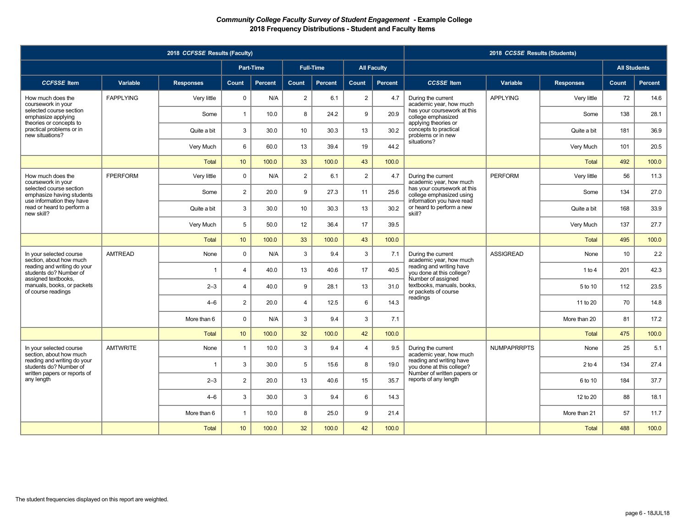|                                                                                   |                  | 2018 CCFSSE Results (Faculty) |                 |           |                |                  |                |                    |                                                                                      | 2018 CCSSE Results (Students) |                  |                     |         |
|-----------------------------------------------------------------------------------|------------------|-------------------------------|-----------------|-----------|----------------|------------------|----------------|--------------------|--------------------------------------------------------------------------------------|-------------------------------|------------------|---------------------|---------|
|                                                                                   |                  |                               |                 | Part-Time |                | <b>Full-Time</b> |                | <b>All Faculty</b> |                                                                                      |                               |                  | <b>All Students</b> |         |
| <b>CCFSSE</b> Item                                                                | Variable         | <b>Responses</b>              | Count           | Percent   | Count          | <b>Percent</b>   | Count          | Percent            | <b>CCSSE</b> Item                                                                    | Variable                      | <b>Responses</b> | Count               | Percent |
| How much does the<br>coursework in your                                           | <b>FAPPLYING</b> | Very little                   | $\mathbf 0$     | N/A       | $\overline{2}$ | 6.1              | $\overline{2}$ | 4.7                | During the current<br>academic year, how much                                        | <b>APPLYING</b>               | Very little      | 72                  | 14.6    |
| selected course section<br>emphasize applying                                     |                  | Some                          | $\mathbf{1}$    | 10.0      | 8              | 24.2             | 9              | 20.9               | has your coursework at this<br>college emphasized<br>applying theories or            |                               | Some             | 138                 | 28.1    |
| theories or concepts to<br>practical problems or in<br>new situations?            |                  | Quite a bit                   | 3               | 30.0      | 10             | 30.3             | 13             | 30.2               | concepts to practical<br>problems or in new                                          |                               | Quite a bit      | 181                 | 36.9    |
|                                                                                   |                  | Very Much                     | 6               | 60.0      | 13             | 39.4             | 19             | 44.2               | situations?                                                                          |                               | Very Much        | 101                 | 20.5    |
|                                                                                   |                  | <b>Total</b>                  | 10              | 100.0     | 33             | 100.0            | 43             | 100.0              |                                                                                      |                               | <b>Total</b>     | 492                 | 100.0   |
| How much does the<br>coursework in your                                           | <b>FPERFORM</b>  | Very little                   | $\mathbf 0$     | N/A       | $\overline{2}$ | 6.1              | $\overline{2}$ | 4.7                | During the current<br>academic year, how much                                        | <b>PERFORM</b>                | Very little      | 56                  | 11.3    |
| selected course section<br>emphasize having students<br>use information they have |                  | Some                          | $\overline{2}$  | 20.0      | 9              | 27.3             | 11             | 25.6               | has your coursework at this<br>college emphasized using<br>information you have read |                               | Some             | 134                 | 27.0    |
| read or heard to perform a<br>new skill?                                          |                  | Quite a bit                   | 3               | 30.0      | 10             | 30.3             | 13             | 30.2               | or heard to perform a new<br>skill?                                                  |                               | Quite a bit      | 168                 | 33.9    |
|                                                                                   |                  | Very Much                     | 5               | 50.0      | 12             | 36.4             | 17             | 39.5               |                                                                                      |                               | Very Much        | 137                 | 27.7    |
|                                                                                   |                  | <b>Total</b>                  | 10              | 100.0     | 33             | 100.0            | 43             | 100.0              |                                                                                      |                               | <b>Total</b>     | 495                 | 100.0   |
| In your selected course<br>section, about how much                                | <b>AMTREAD</b>   | None                          | $\Omega$        | N/A       | 3              | 9.4              | 3              | 7.1                | During the current<br>academic year, how much                                        | <b>ASSIGREAD</b>              | None             | 10                  | 2.2     |
| reading and writing do your<br>students do? Number of<br>assigned textbooks,      |                  | $\overline{1}$                | $\overline{4}$  | 40.0      | 13             | 40.6             | 17             | 40.5               | reading and writing have<br>you done at this college?<br>Number of assigned          |                               | 1 to 4           | 201                 | 42.3    |
| manuals, books, or packets<br>of course readings                                  |                  | $2 - 3$                       | $\overline{4}$  | 40.0      | 9              | 28.1             | 13             | 31.0               | textbooks, manuals, books,<br>or packets of course                                   |                               | 5 to 10          | 112                 | 23.5    |
|                                                                                   |                  | $4 - 6$                       | $\overline{2}$  | 20.0      | $\overline{4}$ | 12.5             | 6              | 14.3               | readings                                                                             |                               | 11 to 20         | 70                  | 14.8    |
|                                                                                   |                  | More than 6                   | $\Omega$        | N/A       | 3              | 9.4              | 3              | 7.1                |                                                                                      |                               | More than 20     | 81                  | 17.2    |
|                                                                                   |                  | <b>Total</b>                  | 10              | 100.0     | 32             | 100.0            | 42             | 100.0              |                                                                                      |                               | <b>Total</b>     | 475                 | 100.0   |
| In your selected course<br>section, about how much                                | <b>AMTWRITE</b>  | None                          | $\overline{1}$  | 10.0      | $\mathbf{3}$   | 9.4              | $\overline{4}$ | 9.5                | During the current<br>academic year, how much                                        | <b>NUMPAPRRPTS</b>            | None             | 25                  | 5.1     |
| reading and writing do your<br>students do? Number of                             |                  | 1                             | 3               | 30.0      | 5              | 15.6             | 8              | 19.0               | reading and writing have<br>vou done at this college?                                |                               | 2 to 4           | 134                 | 27.4    |
| written papers or reports of<br>any length                                        |                  | $2 - 3$                       | $\overline{2}$  | 20.0      | 13             | 40.6             | 15             | 35.7               | Number of written papers or<br>reports of any length                                 |                               | 6 to 10          | 184                 | 37.7    |
|                                                                                   |                  | $4 - 6$                       | 3               | 30.0      | $\mathbf{3}$   | 9.4              | 6              | 14.3               |                                                                                      |                               | 12 to 20         | 88                  | 18.1    |
|                                                                                   |                  | More than 6                   | $\mathbf{1}$    | 10.0      | 8              | 25.0             | 9              | 21.4               |                                                                                      |                               | More than 21     | 57                  | 11.7    |
|                                                                                   |                  | <b>Total</b>                  | 10 <sup>1</sup> | 100.0     | 32             | 100.0            | 42             | 100.0              |                                                                                      |                               | <b>Total</b>     | 488                 | 100.0   |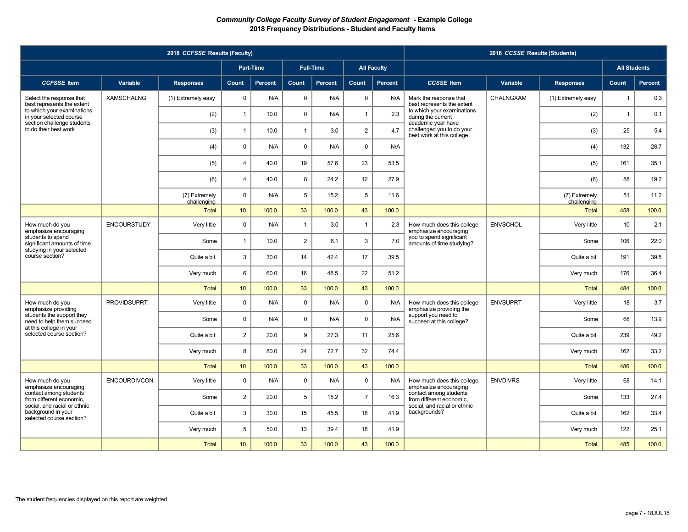|                                                                                    |                     | 2018 CCFSSE Results (Faculty) |                  |                |                |                  |                |                    |                                                                                    | 2018 CCSSE Results (Students) |                              |                     |         |
|------------------------------------------------------------------------------------|---------------------|-------------------------------|------------------|----------------|----------------|------------------|----------------|--------------------|------------------------------------------------------------------------------------|-------------------------------|------------------------------|---------------------|---------|
|                                                                                    |                     |                               |                  | Part-Time      |                | <b>Full-Time</b> |                | <b>All Faculty</b> |                                                                                    |                               |                              | <b>All Students</b> |         |
| <b>CCFSSE</b> Item                                                                 | Variable            | <b>Responses</b>              | Count            | <b>Percent</b> | Count          | <b>Percent</b>   | <b>Count</b>   | Percent            | <b>CCSSE</b> Item                                                                  | Variable                      | <b>Responses</b>             | Count               | Percent |
| Select the response that<br>best represents the extent                             | <b>XAMSCHALNG</b>   | (1) Extremely easy            | $\mathbf 0$      | N/A            | $\mathsf 0$    | N/A              | $\mathbf 0$    | N/A                | Mark the response that<br>best represents the extent                               | CHALNGXAM                     | (1) Extremely easy           | $\mathbf{1}$        | 0.3     |
| to which your examinations<br>in your selected course                              |                     | (2)                           | $\overline{1}$   | 10.0           | $\mathbf 0$    | N/A              | $\mathbf{1}$   | 2.3                | to which your examinations<br>during the current                                   |                               | (2)                          | $\mathbf{1}$        | 0.1     |
| section challenge students<br>to do their best work                                |                     | (3)                           | $\mathbf{1}$     | 10.0           | $\overline{1}$ | 3.0              | $\overline{2}$ | 4.7                | academic year have<br>challenged you to do your<br>best work at this college       |                               | (3)                          | 25                  | 5.4     |
|                                                                                    |                     | (4)                           | $\mathbf 0$      | N/A            | $\mathbf 0$    | N/A              | 0              | N/A                |                                                                                    |                               | (4)                          | 132                 | 28.7    |
|                                                                                    |                     | (5)                           | $\overline{4}$   | 40.0           | 19             | 57.6             | 23             | 53.5               |                                                                                    |                               | (5)                          | 161                 | 35.1    |
|                                                                                    |                     | (6)                           | $\overline{4}$   | 40.0           | 8              | 24.2             | 12             | 27.9               |                                                                                    |                               | (6)                          | 88                  | 19.2    |
|                                                                                    |                     | (7) Extremely<br>challenging  | $\mathbf 0$      | N/A            | 5              | 15.2             | 5              | 11.6               |                                                                                    |                               | (7) Extremely<br>challenging | 51                  | 11.2    |
|                                                                                    |                     | <b>Total</b>                  | 10               | 100.0          | 33             | 100.0            | 43             | 100.0              |                                                                                    |                               | <b>Total</b>                 | 458                 | 100.0   |
| How much do you<br>emphasize encouraging                                           | <b>ENCOURSTUDY</b>  | Very little                   | $\Omega$         | N/A            | $\overline{1}$ | 3.0              | $\overline{1}$ | 2.3                | How much does this college<br>emphasize encouraging                                | <b>ENVSCHOL</b>               | Very little                  | 10                  | 2.1     |
| students to spend<br>significant amounts of time                                   |                     | Some                          | $\overline{1}$   | 10.0           | $\overline{2}$ | 6.1              | 3              | 7.0                | you to spend significant<br>amounts of time studying?                              |                               | Some                         | 106                 | 22.0    |
| studying in your selected<br>course section?                                       |                     | Quite a bit                   | 3                | 30.0           | 14             | 42.4             | 17             | 39.5               |                                                                                    |                               | Quite a bit                  | 191                 | 39.5    |
|                                                                                    |                     | Very much                     | 6                | 60.0           | 16             | 48.5             | 22             | 51.2               |                                                                                    |                               | Very much                    | 176                 | 36.4    |
|                                                                                    |                     | Total                         | 10 <sup>10</sup> | 100.0          | 33             | 100.0            | 43             | 100.0              |                                                                                    |                               | <b>Total</b>                 | 484                 | 100.0   |
| How much do you<br>emphasize providing                                             | <b>PROVIDSUPRT</b>  | Very little                   | $\mathbf 0$      | N/A            | $\mathbf 0$    | N/A              | $\mathbf 0$    | N/A                | How much does this college<br>emphasize providing the                              | <b>ENVSUPRT</b>               | Very little                  | 18                  | 3.7     |
| students the support they<br>need to help them succeed<br>at this college in your  |                     | Some                          | $\mathbf 0$      | N/A            | $\mathbf 0$    | N/A              | 0              | N/A                | support you need to<br>succeed at this college?                                    |                               | Some                         | 68                  | 13.9    |
| selected course section?                                                           |                     | Quite a bit                   | $\overline{2}$   | 20.0           | 9              | 27.3             | 11             | 25.6               |                                                                                    |                               | Quite a bit                  | 239                 | 49.2    |
|                                                                                    |                     | Very much                     | 8                | 80.0           | 24             | 72.7             | 32             | 74.4               |                                                                                    |                               | Very much                    | 162                 | 33.2    |
|                                                                                    |                     | <b>Total</b>                  | 10               | 100.0          | 33             | 100.0            | 43             | 100.0              |                                                                                    |                               | <b>Total</b>                 | 486                 | 100.0   |
| How much do you<br>emphasize encouraging                                           | <b>ENCOURDIVCON</b> | Very little                   | $\mathbf 0$      | N/A            | $\mathbf 0$    | N/A              | 0              | N/A                | How much does this college<br>emphasize encouraging                                | <b>ENVDIVRS</b>               | Very little                  | 68                  | 14.1    |
| contact among students<br>from different economic.<br>social, and racial or ethnic |                     | Some                          | $\overline{2}$   | 20.0           | 5              | 15.2             | $\overline{7}$ | 16.3               | contact among students<br>from different economic.<br>social, and racial or ethnic |                               | Some                         | 133                 | 27.4    |
| background in your<br>selected course section?                                     |                     | Quite a bit                   | 3                | 30.0           | 15             | 45.5             | 18             | 41.9               | backgrounds?                                                                       |                               | Quite a bit                  | 162                 | 33.4    |
|                                                                                    |                     | Very much                     | 5                | 50.0           | 13             | 39.4             | 18             | 41.9               |                                                                                    |                               | Very much                    | 122                 | 25.1    |
|                                                                                    |                     | <b>Total</b>                  | 10               | 100.0          | 33             | 100.0            | 43             | 100.0              |                                                                                    |                               | Total                        | 485                 | 100.0   |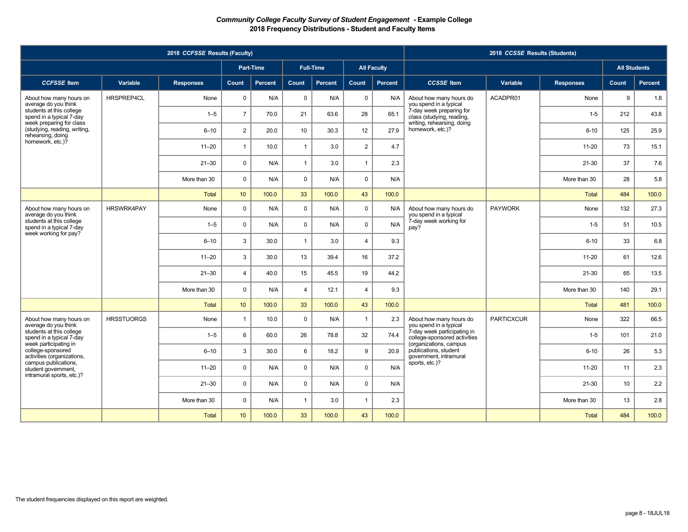|                                                                               |                   | 2018 CCFSSE Results (Faculty) |                 |                |                |                  |                |                    |                                                                           | 2018 CCSSE Results (Students) |                  |                     |                |
|-------------------------------------------------------------------------------|-------------------|-------------------------------|-----------------|----------------|----------------|------------------|----------------|--------------------|---------------------------------------------------------------------------|-------------------------------|------------------|---------------------|----------------|
|                                                                               |                   |                               |                 | Part-Time      |                | <b>Full-Time</b> |                | <b>All Faculty</b> |                                                                           |                               |                  | <b>All Students</b> |                |
| <b>CCFSSE</b> Item                                                            | Variable          | <b>Responses</b>              | Count           | <b>Percent</b> | Count          | <b>Percent</b>   | <b>Count</b>   | Percent            | <b>CCSSE</b> Item                                                         | Variable                      | <b>Responses</b> | Count               | <b>Percent</b> |
| About how many hours on<br>average do you think                               | HRSPREP4CL        | None                          | $\mathsf 0$     | N/A            | $\pmb{0}$      | N/A              | $\mathbf 0$    | N/A                | About how many hours do<br>you spend in a typical                         | ACADPR01                      | None             | 9                   | 1.8            |
| students at this college<br>spend in a typical 7-day                          |                   | $1 - 5$                       | $\overline{7}$  | 70.0           | 21             | 63.6             | 28             | 65.1               | 7-day week preparing for<br>class (studying, reading,                     |                               | $1 - 5$          | 212                 | 43.8           |
| week preparing for class<br>(studying, reading, writing,<br>rehearsing, doing |                   | $6 - 10$                      | 2               | 20.0           | 10             | 30.3             | 12             | 27.9               | writing, rehearsing, doing<br>homework, etc.)?                            |                               | $6 - 10$         | 125                 | 25.9           |
| homework, etc.)?                                                              |                   | $11 - 20$                     | $\overline{1}$  | 10.0           | $\mathbf{1}$   | 3.0              | $\overline{2}$ | 4.7                |                                                                           |                               | $11 - 20$        | 73                  | 15.1           |
|                                                                               |                   | $21 - 30$                     | $\Omega$        | N/A            | $\mathbf{1}$   | 3.0              | $\mathbf{1}$   | 2.3                |                                                                           |                               | $21 - 30$        | 37                  | 7.6            |
|                                                                               |                   | More than 30                  | $\mathbf 0$     | N/A            | $\mathbf 0$    | N/A              | $\mathbf 0$    | N/A                |                                                                           |                               | More than 30     | 28                  | 5.8            |
|                                                                               |                   | <b>Total</b>                  | 10 <sup>1</sup> | 100.0          | 33             | 100.0            | 43             | 100.0              |                                                                           |                               | Total            | 484                 | 100.0          |
| About how many hours on<br>average do you think                               | <b>HRSWRK4PAY</b> | None                          | $\Omega$        | N/A            | $\mathbf 0$    | N/A              | $\mathbf 0$    | N/A                | About how many hours do<br>you spend in a typical                         | <b>PAYWORK</b>                | None             | 132                 | 27.3           |
| students at this college<br>spend in a typical 7-day<br>week working for pay? |                   | $1 - 5$                       | $\mathbf 0$     | N/A            | $\mathbf 0$    | N/A              | $\mathbf 0$    | N/A                | 7-day week working for<br>pay?                                            |                               | $1-5$            | 51                  | 10.5           |
|                                                                               |                   | $6 - 10$                      | 3               | 30.0           | $\mathbf{1}$   | 3.0              | $\overline{4}$ | 9.3                |                                                                           |                               | $6 - 10$         | 33                  | 6.8            |
|                                                                               |                   | $11 - 20$                     | 3               | 30.0           | 13             | 39.4             | 16             | 37.2               |                                                                           |                               | $11-20$          | 61                  | 12.6           |
|                                                                               |                   | $21 - 30$                     | $\overline{4}$  | 40.0           | 15             | 45.5             | 19             | 44.2               |                                                                           |                               | $21 - 30$        | 65                  | 13.5           |
|                                                                               |                   | More than 30                  | $\mathbf 0$     | N/A            | $\overline{4}$ | 12.1             | $\overline{4}$ | 9.3                |                                                                           |                               | More than 30     | 140                 | 29.1           |
|                                                                               |                   | <b>Total</b>                  | 10              | 100.0          | 33             | 100.0            | 43             | 100.0              |                                                                           |                               | Total            | 481                 | 100.0          |
| About how many hours on<br>average do you think                               | <b>HRSSTUORGS</b> | None                          | $\overline{1}$  | 10.0           | $\mathbf 0$    | N/A              | $\overline{1}$ | 2.3                | About how many hours do<br>you spend in a typical                         | <b>PARTICXCUR</b>             | None             | 322                 | 66.5           |
| students at this college<br>spend in a typical 7-day                          |                   | $1 - 5$                       | 6               | 60.0           | 26             | 78.8             | 32             | 74.4               | 7-day week participating in<br>college-sponsored activities               |                               | $1 - 5$          | 101                 | 21.0           |
| week participating in<br>college-sponsored<br>activities (organizations,      |                   | $6 - 10$                      | 3               | 30.0           | 6              | 18.2             | 9              | 20.9               | (organizations, campus<br>publications, student<br>government, intramural |                               | $6 - 10$         | 26                  | 5.3            |
| campus publications,<br>student government,<br>intramural sports, etc.)?      |                   | $11 - 20$                     | $\mathbf 0$     | N/A            | $\mathbf 0$    | N/A              | $\mathbf 0$    | N/A                | sports, etc.)?                                                            |                               | $11 - 20$        | 11                  | 2.3            |
|                                                                               |                   | $21 - 30$                     | $\mathbf{0}$    | N/A            | $\mathbf 0$    | N/A              | $\mathbf 0$    | N/A                |                                                                           |                               | $21 - 30$        | 10                  | 2.2            |
|                                                                               |                   | More than 30                  | $\mathbf 0$     | N/A            | $\mathbf{1}$   | 3.0              | $\overline{1}$ | 2.3                |                                                                           |                               | More than 30     | 13                  | 2.8            |
|                                                                               |                   | <b>Total</b>                  | 10              | 100.0          | 33             | 100.0            | 43             | 100.0              |                                                                           |                               | Total            | 484                 | 100.0          |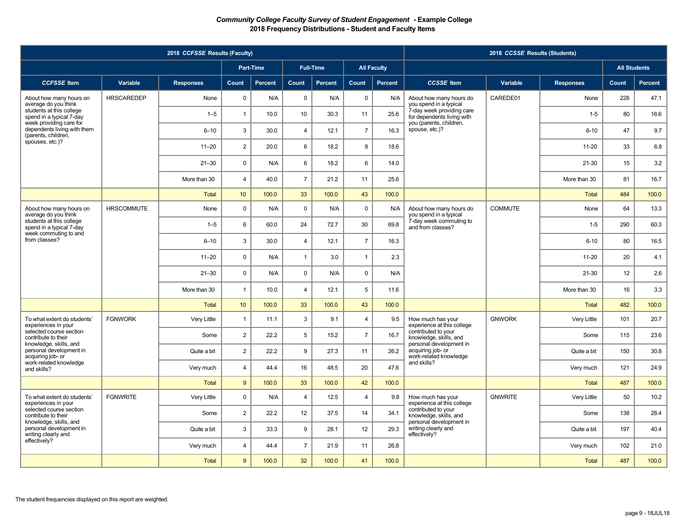|                                                                               |                   | 2018 CCFSSE Results (Faculty) |                |           |                |                  |                |                    |                                                                          | 2018 CCSSE Results (Students) |                  |                     |                |
|-------------------------------------------------------------------------------|-------------------|-------------------------------|----------------|-----------|----------------|------------------|----------------|--------------------|--------------------------------------------------------------------------|-------------------------------|------------------|---------------------|----------------|
|                                                                               |                   |                               |                | Part-Time |                | <b>Full-Time</b> |                | <b>All Faculty</b> |                                                                          |                               |                  | <b>All Students</b> |                |
| <b>CCFSSE</b> Item                                                            | Variable          | <b>Responses</b>              | Count          | Percent   | <b>Count</b>   | <b>Percent</b>   | Count          | Percent            | <b>CCSSE</b> Item                                                        | Variable                      | <b>Responses</b> | Count               | <b>Percent</b> |
| About how many hours on<br>average do you think                               | <b>HRSCAREDEP</b> | None                          | $\Omega$       | N/A       | $\pmb{0}$      | N/A              | $\mathsf 0$    | N/A                | About how many hours do<br>you spend in a typical                        | CAREDE01                      | None             | 228                 | 47.1           |
| students at this college<br>spend in a typical 7-day                          |                   | $1 - 5$                       | $\overline{1}$ | 10.0      | 10             | 30.3             | 11             | 25.6               | 7-day week providing care<br>for dependents living with                  |                               | $1 - 5$          | 80                  | 16.6           |
| week providing care for<br>dependents living with them<br>(parents, children, |                   | $6 - 10$                      | 3              | 30.0      | $\overline{4}$ | 12.1             | $\overline{7}$ | 16.3               | you (parents, children,<br>spouse, etc.)?                                |                               | $6 - 10$         | 47                  | 9.7            |
| spouses, etc.)?                                                               |                   | $11 - 20$                     | $\overline{2}$ | 20.0      | 6              | 18.2             | 8              | 18.6               |                                                                          |                               | $11 - 20$        | 33                  | 6.8            |
|                                                                               |                   | $21 - 30$                     | $\mathbf 0$    | N/A       | 6              | 18.2             | 6              | 14.0               |                                                                          |                               | $21 - 30$        | 15                  | 3.2            |
|                                                                               |                   | More than 30                  | $\overline{4}$ | 40.0      | $\overline{7}$ | 21.2             | 11             | 25.6               |                                                                          |                               | More than 30     | 81                  | 16.7           |
|                                                                               |                   | <b>Total</b>                  | 10             | 100.0     | 33             | 100.0            | 43             | 100.0              |                                                                          |                               | Total            | 484                 | 100.0          |
| About how many hours on<br>average do you think                               | <b>HRSCOMMUTE</b> | None                          | $\mathbf 0$    | N/A       | $\mathbf 0$    | N/A              | $\mathbf 0$    | N/A                | About how many hours do<br>you spend in a typical                        | <b>COMMUTE</b>                | None             | 64                  | 13.3           |
| students at this college<br>spend in a typical 7-day<br>week commuting to and |                   | $1 - 5$                       | 6              | 60.0      | 24             | 72.7             | 30             | 69.8               | 7-day week commuting to<br>and from classes?                             |                               | $1-5$            | 290                 | 60.3           |
| from classes?                                                                 |                   | $6 - 10$                      | 3              | 30.0      | $\overline{4}$ | 12.1             | $\overline{7}$ | 16.3               |                                                                          |                               | $6 - 10$         | 80                  | 16.5           |
|                                                                               |                   | $11 - 20$                     | $\mathbf 0$    | N/A       | $\mathbf{1}$   | 3.0              | $\mathbf{1}$   | 2.3                |                                                                          |                               | $11 - 20$        | 20                  | 4.1            |
|                                                                               |                   | $21 - 30$                     | $\mathbf 0$    | N/A       | $\mathbf 0$    | N/A              | $\mathbf 0$    | N/A                |                                                                          |                               | $21 - 30$        | 12                  | 2.6            |
|                                                                               |                   | More than 30                  | $\overline{1}$ | 10.0      | $\overline{4}$ | 12.1             | 5              | 11.6               |                                                                          |                               | More than 30     | 16                  | 3.3            |
|                                                                               |                   | <b>Total</b>                  | 10             | 100.0     | 33             | 100.0            | 43             | 100.0              |                                                                          |                               | <b>Total</b>     | 482                 | 100.0          |
| To what extent do students'<br>experiences in your                            | <b>FGNWORK</b>    | Very Little                   | $\mathbf{1}$   | 11.1      | 3              | 9.1              | $\overline{4}$ | 9.5                | How much has your<br>experience at this college                          | <b>GNWORK</b>                 | Very Little      | 101                 | 20.7           |
| selected course section<br>contribute to their                                |                   | Some                          | $\overline{2}$ | 22.2      | 5              | 15.2             | $\overline{7}$ | 16.7               | contributed to your<br>knowledge, skills, and<br>personal development in |                               | Some             | 115                 | 23.6           |
| knowledge, skills, and<br>personal development in<br>acquiring job- or        |                   | Quite a bit                   | $\overline{2}$ | 22.2      | 9              | 27.3             | 11             | 26.2               | acquiring job- or<br>work-related knowledge                              |                               | Quite a bit      | 150                 | 30.8           |
| work-related knowledge<br>and skills?                                         |                   | Very much                     | $\overline{4}$ | 44.4      | 16             | 48.5             | 20             | 47.6               | and skills?                                                              |                               | Very much        | 121                 | 24.9           |
|                                                                               |                   | <b>Total</b>                  | 9              | 100.0     | 33             | 100.0            | 42             | 100.0              |                                                                          |                               | <b>Total</b>     | 487                 | 100.0          |
| To what extent do students'<br>experiences in your                            | <b>FGNWRITE</b>   | Very Little                   | $\mathbf 0$    | N/A       | $\overline{4}$ | 12.5             | $\overline{4}$ | 9.8                | How much has your<br>experience at this college                          | <b>GNWRITE</b>                | Very Little      | 50                  | 10.2           |
| selected course section<br>contribute to their                                |                   | Some                          | $\overline{2}$ | 22.2      | 12             | 37.5             | 14             | 34.1               | contributed to your<br>knowledge, skills, and                            |                               | Some             | 138                 | 28.4           |
| knowledge, skills, and<br>personal development in<br>writing clearly and      |                   | Quite a bit                   | 3              | 33.3      | 9              | 28.1             | 12             | 29.3               | personal development in<br>writing clearly and<br>effectively?           |                               | Quite a bit      | 197                 | 40.4           |
| effectively?                                                                  |                   | Very much                     | $\overline{4}$ | 44.4      | $\overline{7}$ | 21.9             | 11             | 26.8               |                                                                          |                               | Very much        | 102                 | 21.0           |
|                                                                               |                   | <b>Total</b>                  | 9              | 100.0     | 32             | 100.0            | 41             | 100.0              |                                                                          |                               | Total            | 487                 | 100.0          |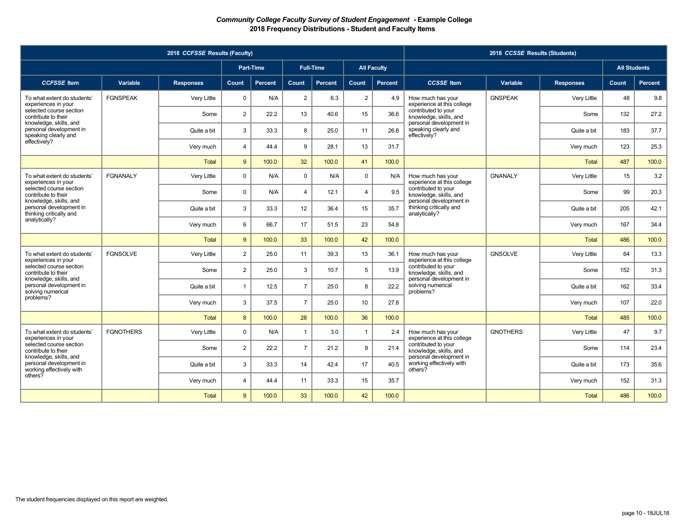|                                                                               |                  | 2018 CCFSSE Results (Faculty) |                |                  |                |                  |                |                    |                                                                          | 2018 CCSSE Results (Students) |                  |                     |                |
|-------------------------------------------------------------------------------|------------------|-------------------------------|----------------|------------------|----------------|------------------|----------------|--------------------|--------------------------------------------------------------------------|-------------------------------|------------------|---------------------|----------------|
|                                                                               |                  |                               |                | <b>Part-Time</b> |                | <b>Full-Time</b> |                | <b>All Faculty</b> |                                                                          |                               |                  | <b>All Students</b> |                |
| <b>CCFSSE</b> Item                                                            | Variable         | <b>Responses</b>              | Count          | <b>Percent</b>   | Count          | <b>Percent</b>   | Count          | <b>Percent</b>     | <b>CCSSE</b> Item                                                        | Variable                      | <b>Responses</b> | Count,              | <b>Percent</b> |
| To what extent do students'<br>experiences in your                            | <b>FGNSPEAK</b>  | Very Little                   | $\Omega$       | N/A              | $\overline{2}$ | 6.3              | $\overline{2}$ | 4.9                | How much has your<br>experience at this college                          | <b>GNSPEAK</b>                | Very Little      | 48                  | 9.8            |
| selected course section<br>contribute to their                                |                  | Some                          | $\overline{2}$ | 22.2             | 13             | 40.6             | 15             | 36.6               | contributed to your<br>knowledge, skills, and                            |                               | Some             | 132                 | 27.2           |
| knowledge, skills, and<br>personal development in<br>speaking clearly and     |                  | Quite a bit                   | 3              | 33.3             | 8              | 25.0             | 11             | 26.8               | personal development in<br>speaking clearly and<br>effectively?          |                               | Quite a bit      | 183                 | 37.7           |
| effectively?                                                                  |                  | Very much                     | $\overline{4}$ | 44.4             | 9              | 28.1             | 13             | 31.7               |                                                                          |                               | Very much        | 123                 | 25.3           |
|                                                                               |                  | Total                         | 9              | 100.0            | 32             | 100.0            | 41             | 100.0              |                                                                          |                               | <b>Total</b>     | 487                 | 100.0          |
| To what extent do students'<br>experiences in your                            | <b>FGNANALY</b>  | Very Little                   | $\mathbf 0$    | N/A              | $\mathbf 0$    | N/A              | $\mathbf 0$    | N/A                | How much has your<br>experience at this college                          | <b>GNANALY</b>                | Very Little      | 15                  | 3.2            |
| selected course section<br>contribute to their                                |                  | Some                          | $\Omega$       | N/A              | $\overline{4}$ | 12.1             | $\overline{4}$ | 9.5                | contributed to your<br>knowledge, skills, and                            |                               | Some             | 99                  | 20.3           |
| knowledge, skills, and<br>personal development in<br>thinking critically and  |                  | Quite a bit                   | 3              | 33.3             | 12             | 36.4             | 15             | 35.7               | personal development in<br>thinking critically and<br>analytically?      |                               | Quite a bit      | 205                 | 42.1           |
| analytically?                                                                 |                  | Very much                     | 6              | 66.7             | 17             | 51.5             | 23             | 54.8               |                                                                          |                               | Very much        | 167                 | 34.4           |
|                                                                               |                  | <b>Total</b>                  | 9              | 100.0            | 33             | 100.0            | 42             | 100.0              |                                                                          |                               | <b>Total</b>     | 486                 | 100.0          |
| To what extent do students'<br>experiences in your                            | <b>FGNSOLVE</b>  | Very Little                   | $\overline{2}$ | 25.0             | 11             | 39.3             | 13             | 36.1               | How much has your<br>experience at this college                          | <b>GNSOLVE</b>                | Very Little      | 64                  | 13.3           |
| selected course section<br>contribute to their                                |                  | Some                          | $\overline{2}$ | 25.0             | 3              | 10.7             | 5              | 13.9               | contributed to your<br>knowledge, skills, and                            |                               | Some             | 152                 | 31.3           |
| knowledge, skills, and<br>personal development in<br>solving numerical        |                  | Quite a bit                   | $\overline{1}$ | 12.5             | $\overline{7}$ | 25.0             | 8              | 22.2               | personal development in<br>solving numerical<br>problems?                |                               | Quite a bit      | 162                 | 33.4           |
| problems?                                                                     |                  | Very much                     | 3              | 37.5             | $\overline{7}$ | 25.0             | 10             | 27.8               |                                                                          |                               | Very much        | 107                 | 22.0           |
|                                                                               |                  | <b>Total</b>                  | 8              | 100.0            | 28             | 100.0            | 36             | 100.0              |                                                                          |                               | <b>Total</b>     | 485                 | 100.0          |
| To what extent do students'<br>experiences in your                            | <b>FGNOTHERS</b> | Very Little                   | $\Omega$       | N/A              | $\overline{1}$ | 3.0              | $\overline{1}$ | 2.4                | How much has your<br>experience at this college                          | <b>GNOTHERS</b>               | Very Little      | 47                  | 9.7            |
| selected course section<br>contribute to their                                |                  | Some                          | $\overline{2}$ | 22.2             | $\overline{7}$ | 21.2             | 9              | 21.4               | contributed to your<br>knowledge, skills, and<br>personal development in |                               | Some             | 114                 | 23.4           |
| knowledge, skills, and<br>personal development in<br>working effectively with |                  | Quite a bit                   | 3              | 33.3             | 14             | 42.4             | 17             | 40.5               | working effectively with<br>others?                                      |                               | Quite a bit      | 173                 | 35.6           |
| others?                                                                       |                  | Very much                     | $\overline{4}$ | 44.4             | 11             | 33.3             | 15             | 35.7               |                                                                          |                               | Very much        | 152                 | 31.3           |
|                                                                               |                  | <b>Total</b>                  | 9              | 100.0            | 33             | 100.0            | 42             | 100.0              |                                                                          |                               | <b>Total</b>     | 486                 | 100.0          |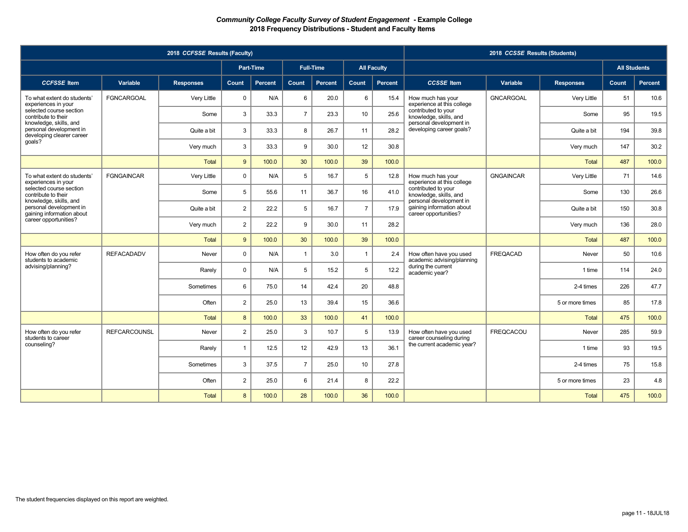|                                                                                |                     | 2018 CCFSSE Results (Faculty) |                |                |                |                  |                 |                    |                                                                               | 2018 CCSSE Results (Students) |                  |                     |                |
|--------------------------------------------------------------------------------|---------------------|-------------------------------|----------------|----------------|----------------|------------------|-----------------|--------------------|-------------------------------------------------------------------------------|-------------------------------|------------------|---------------------|----------------|
|                                                                                |                     |                               |                | Part-Time      |                | <b>Full-Time</b> |                 | <b>All Faculty</b> |                                                                               |                               |                  | <b>All Students</b> |                |
| <b>CCFSSE</b> Item                                                             | Variable            | <b>Responses</b>              | Count          | <b>Percent</b> | Count          | <b>Percent</b>   | Count           | Percent            | <b>CCSSE</b> Item                                                             | Variable                      | <b>Responses</b> | Count               | <b>Percent</b> |
| To what extent do students'<br>experiences in your                             | <b>FGNCARGOAL</b>   | Very Little                   | $\Omega$       | N/A            | 6              | 20.0             | 6               | 15.4               | How much has your<br>experience at this college                               | <b>GNCARGOAL</b>              | Very Little      | 51                  | 10.6           |
| selected course section<br>contribute to their                                 |                     | Some                          | 3              | 33.3           | $\overline{7}$ | 23.3             | 10              | 25.6               | contributed to your<br>knowledge, skills, and                                 |                               | Some             | 95                  | 19.5           |
| knowledge, skills, and<br>personal development in<br>developing clearer career |                     | Quite a bit                   | 3              | 33.3           | 8              | 26.7             | 11              | 28.2               | personal development in<br>developing career goals?                           |                               | Quite a bit      | 194                 | 39.8           |
| goals?                                                                         |                     | Very much                     | 3              | 33.3           | 9              | 30.0             | 12              | 30.8               |                                                                               |                               | Very much        | 147                 | 30.2           |
|                                                                                |                     | Total                         | 9              | 100.0          | 30             | 100.0            | 39              | 100.0              |                                                                               |                               | <b>Total</b>     | 487                 | 100.0          |
| To what extent do students'<br>experiences in your                             | <b>FGNGAINCAR</b>   | Very Little                   | $\mathbf 0$    | N/A            | 5              | 16.7             | $5\phantom{.0}$ | 12.8               | How much has your<br>experience at this college                               | <b>GNGAINCAR</b>              | Very Little      | 71                  | 14.6           |
| selected course section<br>contribute to their                                 |                     | Some                          | 5              | 55.6           | 11             | 36.7             | 16              | 41.0               | contributed to your<br>knowledge, skills, and                                 |                               | Some             | 130                 | 26.6           |
| knowledge, skills, and<br>personal development in<br>gaining information about |                     | Quite a bit                   | $\overline{2}$ | 22.2           | 5              | 16.7             | $\overline{7}$  | 17.9               | personal development in<br>gaining information about<br>career opportunities? |                               | Quite a bit      | 150                 | 30.8           |
| career opportunities?                                                          |                     | Very much                     | $\overline{2}$ | 22.2           | 9              | 30.0             | 11              | 28.2               |                                                                               |                               | Very much        | 136                 | 28.0           |
|                                                                                |                     | <b>Total</b>                  | 9              | 100.0          | 30             | 100.0            | 39              | 100.0              |                                                                               |                               | <b>Total</b>     | 487                 | 100.0          |
| How often do you refer<br>students to academic                                 | <b>REFACADADV</b>   | Never                         | $\mathbf 0$    | N/A            | $\overline{1}$ | 3.0              | $\overline{1}$  | 2.4                | How often have you used<br>academic advising/planning                         | <b>FREQACAD</b>               | Never            | 50                  | 10.6           |
| advising/planning?                                                             |                     | Rarely                        | $\Omega$       | N/A            | 5              | 15.2             | 5               | 12.2               | during the current<br>academic year?                                          |                               | 1 time           | 114                 | 24.0           |
|                                                                                |                     | Sometimes                     | 6              | 75.0           | 14             | 42.4             | 20              | 48.8               |                                                                               |                               | 2-4 times        | 226                 | 47.7           |
|                                                                                |                     | Often                         | $\overline{2}$ | 25.0           | 13             | 39.4             | 15              | 36.6               |                                                                               |                               | 5 or more times  | 85                  | 17.8           |
|                                                                                |                     | Total                         | 8              | 100.0          | 33             | 100.0            | 41              | 100.0              |                                                                               |                               | <b>Total</b>     | 475                 | 100.0          |
| How often do you refer<br>students to career                                   | <b>REFCARCOUNSL</b> | Never                         | $\overline{2}$ | 25.0           | 3              | 10.7             | $5\phantom{.0}$ | 13.9               | How often have you used<br>career counseling during                           | <b>FREQCACOU</b>              | Never            | 285                 | 59.9           |
| counseling?                                                                    |                     | Rarely                        | -1             | 12.5           | 12             | 42.9             | 13              | 36.1               | the current academic year?                                                    |                               | 1 time           | 93                  | 19.5           |
|                                                                                |                     | Sometimes                     | 3              | 37.5           | $\overline{7}$ | 25.0             | 10              | 27.8               |                                                                               |                               | 2-4 times        | 75                  | 15.8           |
|                                                                                |                     | Often                         | $\overline{2}$ | 25.0           | 6              | 21.4             | 8               | 22.2               |                                                                               |                               | 5 or more times  | 23                  | 4.8            |
|                                                                                |                     | Total                         | 8              | 100.0          | 28             | 100.0            | 36              | 100.0              |                                                                               |                               | Total            | 475                 | 100.0          |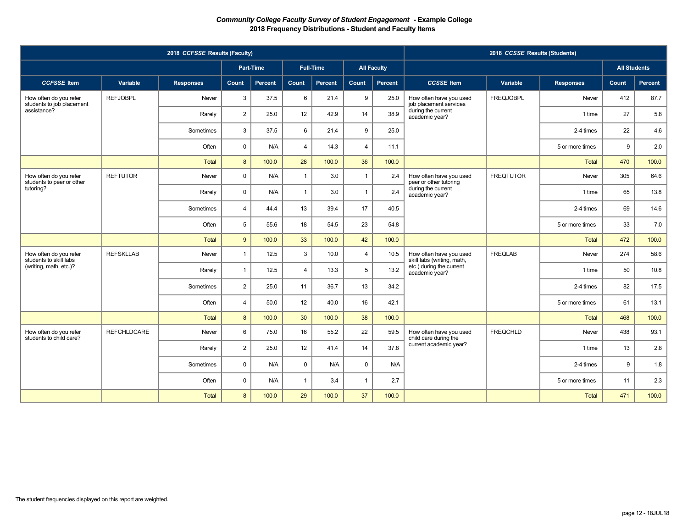|                                                     |                    | 2018 CCFSSE Results (Faculty) |                |           |                |                  |                |                    |                                                       | 2018 CCSSE Results (Students) |                  |                     |                |
|-----------------------------------------------------|--------------------|-------------------------------|----------------|-----------|----------------|------------------|----------------|--------------------|-------------------------------------------------------|-------------------------------|------------------|---------------------|----------------|
|                                                     |                    |                               |                | Part-Time |                | <b>Full-Time</b> |                | <b>All Faculty</b> |                                                       |                               |                  | <b>All Students</b> |                |
| <b>CCFSSE</b> Item                                  | <b>Variable</b>    | <b>Responses</b>              | Count          | Percent   | Count          | Percent          | <b>Count</b>   | Percent            | <b>CCSSE</b> Item                                     | Variable                      | <b>Responses</b> | Count               | <b>Percent</b> |
| How often do you refer<br>students to job placement | <b>REFJOBPL</b>    | Never                         | 3              | 37.5      | 6              | 21.4             | 9              | 25.0               | How often have you used<br>job placement services     | <b>FREQJOBPL</b>              | Never            | 412                 | 87.7           |
| assistance?                                         |                    | Rarely                        | $\overline{2}$ | 25.0      | 12             | 42.9             | 14             | 38.9               | during the current<br>academic year?                  |                               | 1 time           | 27                  | 5.8            |
|                                                     |                    | Sometimes                     | 3              | 37.5      | 6              | 21.4             | 9              | 25.0               |                                                       |                               | 2-4 times        | 22                  | 4.6            |
|                                                     |                    | Often                         | $\Omega$       | N/A       | $\overline{4}$ | 14.3             | $\overline{4}$ | 11.1               |                                                       |                               | 5 or more times  | 9                   | 2.0            |
|                                                     |                    | Total                         | 8              | 100.0     | 28             | 100.0            | 36             | 100.0              |                                                       |                               | <b>Total</b>     | 470                 | 100.0          |
| How often do you refer<br>students to peer or other | <b>REFTUTOR</b>    | Never                         | $\mathbf 0$    | N/A       | $\mathbf{1}$   | 3.0              | $\mathbf{1}$   | 2.4                | How often have you used<br>peer or other tutoring     | <b>FREQTUTOR</b>              | Never            | 305                 | 64.6           |
| tutoring?                                           |                    | Rarely                        | $\mathbf 0$    | N/A       | $\mathbf{1}$   | 3.0              | $\mathbf{1}$   | 2.4                | during the current<br>academic year?                  |                               | 1 time           | 65                  | 13.8           |
|                                                     |                    | Sometimes                     | $\overline{4}$ | 44.4      | 13             | 39.4             | 17             | 40.5               |                                                       |                               | 2-4 times        | 69                  | 14.6           |
|                                                     |                    | Often                         | 5              | 55.6      | 18             | 54.5             | 23             | 54.8               |                                                       |                               | 5 or more times  | 33                  | 7.0            |
|                                                     |                    | Total                         | 9              | 100.0     | 33             | 100.0            | 42             | 100.0              |                                                       |                               | <b>Total</b>     | 472                 | 100.0          |
| How often do you refer<br>students to skill labs    | <b>REFSKLLAB</b>   | Never                         | $\mathbf{1}$   | 12.5      | 3              | 10.0             | $\overline{4}$ | 10.5               | How often have you used<br>skill labs (writing, math, | <b>FREQLAB</b>                | Never            | 274                 | 58.6           |
| (writing, math, etc.)?                              |                    | Rarely                        | $\mathbf{1}$   | 12.5      | $\overline{4}$ | 13.3             | 5              | 13.2               | etc.) during the current<br>academic year?            |                               | 1 time           | 50                  | 10.8           |
|                                                     |                    | Sometimes                     | $\overline{2}$ | 25.0      | 11             | 36.7             | 13             | 34.2               |                                                       |                               | 2-4 times        | 82                  | 17.5           |
|                                                     |                    | Often                         | $\overline{4}$ | 50.0      | 12             | 40.0             | 16             | 42.1               |                                                       |                               | 5 or more times  | 61                  | 13.1           |
|                                                     |                    | Total                         | 8              | 100.0     | 30             | 100.0            | 38             | 100.0              |                                                       |                               | <b>Total</b>     | 468                 | 100.0          |
| How often do you refer<br>students to child care?   | <b>REFCHLDCARE</b> | Never                         | 6              | 75.0      | 16             | 55.2             | 22             | 59.5               | How often have you used<br>child care during the      | <b>FREQCHLD</b>               | Never            | 438                 | 93.1           |
|                                                     |                    | Rarely                        | $\overline{2}$ | 25.0      | 12             | 41.4             | 14             | 37.8               | current academic year?                                |                               | 1 time           | 13                  | 2.8            |
|                                                     |                    | Sometimes                     | $\mathbf 0$    | N/A       | $\mathbf 0$    | N/A              | $\mathbf 0$    | N/A                |                                                       |                               | 2-4 times        | 9                   | 1.8            |
|                                                     |                    | Often                         | $\mathbf 0$    | N/A       | $\mathbf{1}$   | 3.4              | $\overline{1}$ | 2.7                |                                                       |                               | 5 or more times  | 11                  | 2.3            |
|                                                     |                    | <b>Total</b>                  | 8              | 100.0     | 29             | 100.0            | 37             | 100.0              |                                                       |                               | Total            | 471                 | 100.0          |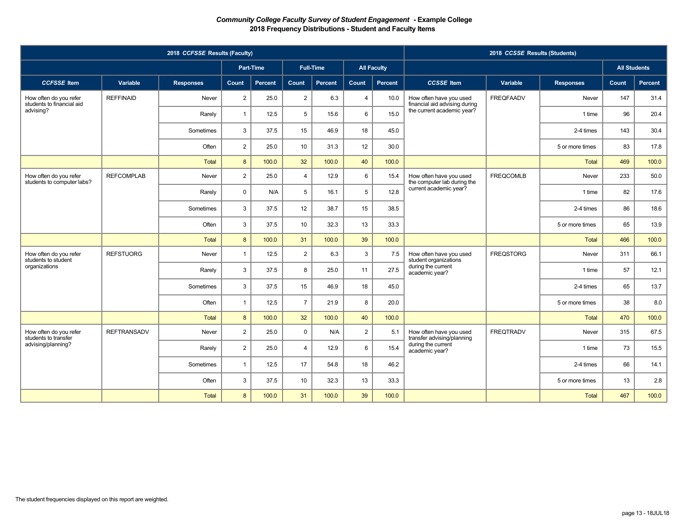| 2018 CCFSSE Results (Faculty)                        |                    |                  |                  |           |                |                  |                |                    | 2018 CCSSE Results (Students)                                                                 |                  |                  |                     |         |
|------------------------------------------------------|--------------------|------------------|------------------|-----------|----------------|------------------|----------------|--------------------|-----------------------------------------------------------------------------------------------|------------------|------------------|---------------------|---------|
|                                                      |                    |                  |                  | Part-Time |                | <b>Full-Time</b> |                | <b>All Faculty</b> |                                                                                               |                  |                  | <b>All Students</b> |         |
| <b>CCFSSE</b> Item                                   | Variable           | <b>Responses</b> | Count            | Percent   | Count          | <b>Percent</b>   | Count          | Percent            | <b>CCSSE</b> Item                                                                             | Variable         | <b>Responses</b> | Count               | Percent |
| How often do you refer<br>students to financial aid  | <b>REFFINAID</b>   | Never            | $\overline{2}$   | 25.0      | $\overline{2}$ | 6.3              | $\overline{4}$ | 10.0               | How often have you used<br>financial aid advising during                                      | <b>FREQFAADV</b> | Never            | 147                 | 31.4    |
| advising?                                            |                    | Rarely           | $\mathbf{1}$     | 12.5      | 5              | 15.6             | 6              | 15.0               | the current academic year?                                                                    |                  | 1 time           | 96                  | 20.4    |
|                                                      |                    | Sometimes        | 3                | 37.5      | 15             | 46.9             | 18             | 45.0               |                                                                                               |                  | 2-4 times        | 143                 | 30.4    |
|                                                      |                    | Often            | $\overline{2}$   | 25.0      | 10             | 31.3             | 12             | 30.0               |                                                                                               |                  | 5 or more times  | 83                  | 17.8    |
|                                                      |                    | Total            | 8                | 100.0     | 32             | 100.0            | 40             | 100.0              |                                                                                               |                  | Total            | 469                 | 100.0   |
| How often do you refer<br>students to computer labs? | <b>REFCOMPLAB</b>  | Never            | $\overline{2}$   | 25.0      | $\overline{4}$ | 12.9             | 6              | 15.4               | How often have you used<br>the computer lab during the<br>current academic year?              | <b>FREQCOMLB</b> | Never            | 233                 | 50.0    |
|                                                      |                    | Rarely           | $\mathbf 0$      | N/A       | 5              | 16.1             | 5              | 12.8               |                                                                                               |                  | 1 time           | 82                  | 17.6    |
|                                                      |                    | Sometimes        | 3                | 37.5      | 12             | 38.7             | 15             | 38.5               |                                                                                               |                  | 2-4 times        | 86                  | 18.6    |
|                                                      |                    | Often            | 3                | 37.5      | 10             | 32.3             | 13             | 33.3               |                                                                                               |                  | 5 or more times  | 65                  | 13.9    |
|                                                      |                    | Total            | 8                | 100.0     | 31             | 100.0            | 39             | 100.0              |                                                                                               |                  | Total            | 466                 | 100.0   |
| How often do you refer<br>students to student        | <b>REFSTUORG</b>   | Never            | $\mathbf{1}$     | 12.5      | $\overline{2}$ | 6.3              | 3              | 7.5                | How often have you used<br>student organizations<br>during the current<br>academic year?      | <b>FREQSTORG</b> | Never            | 311                 | 66.1    |
| organizations                                        |                    | Rarely           | 3                | 37.5      | 8              | 25.0             | 11             | 27.5               |                                                                                               |                  | 1 time           | 57                  | 12.1    |
|                                                      |                    | Sometimes        | 3                | 37.5      | 15             | 46.9             | 18             | 45.0               |                                                                                               |                  | 2-4 times        | 65                  | 13.7    |
|                                                      |                    | Often            | $\mathbf{1}$     | 12.5      | $\overline{7}$ | 21.9             | 8              | 20.0               |                                                                                               |                  | 5 or more times  | 38                  | 8.0     |
|                                                      |                    | Total            | $\boldsymbol{8}$ | 100.0     | 32             | 100.0            | 40             | 100.0              |                                                                                               |                  | Total            | 470                 | 100.0   |
| How often do you refer<br>students to transfer       | <b>REFTRANSADV</b> | Never            | $\overline{2}$   | 25.0      | $\mathbf 0$    | N/A              | $\overline{2}$ | 5.1                | How often have you used<br>transfer advising/planning<br>during the current<br>academic year? | <b>FREQTRADV</b> | Never            | 315                 | 67.5    |
| advising/planning?                                   |                    | Rarely           | $\overline{2}$   | 25.0      | $\overline{4}$ | 12.9             | 6              | 15.4               |                                                                                               |                  | 1 time           | 73                  | 15.5    |
|                                                      |                    | Sometimes        | $\mathbf{1}$     | 12.5      | 17             | 54.8             | 18             | 46.2               |                                                                                               |                  | 2-4 times        | 66                  | 14.1    |
|                                                      |                    | Often            | 3                | 37.5      | 10             | 32.3             | 13             | 33.3               |                                                                                               |                  | 5 or more times  | 13                  | 2.8     |
|                                                      |                    | Total            | 8                | 100.0     | 31             | 100.0            | 39             | 100.0              |                                                                                               |                  | Total            | 467                 | 100.0   |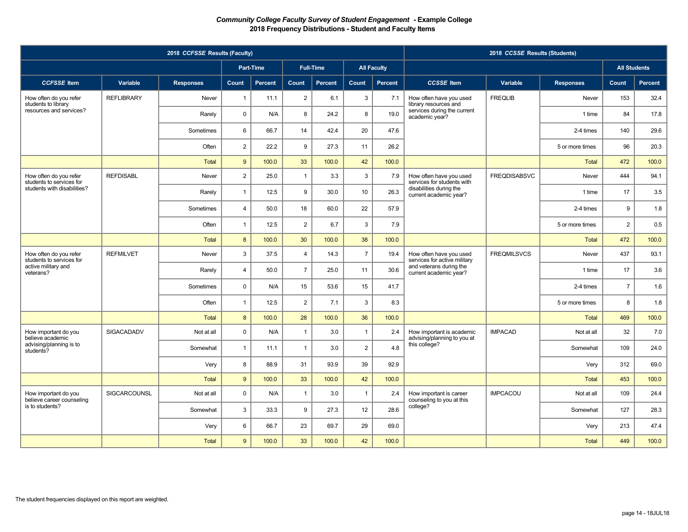|                                                    | 2018 CCSSE Results (Students) |                  |                  |                |                |                  |                |                    |                                                                                                              |                     |                                                          |                |                     |     |      |
|----------------------------------------------------|-------------------------------|------------------|------------------|----------------|----------------|------------------|----------------|--------------------|--------------------------------------------------------------------------------------------------------------|---------------------|----------------------------------------------------------|----------------|---------------------|-----|------|
|                                                    |                               |                  |                  | Part-Time      |                | <b>Full-Time</b> |                | <b>All Faculty</b> |                                                                                                              |                     |                                                          |                | <b>All Students</b> |     |      |
| <b>CCFSSE</b> Item                                 | Variable                      | <b>Responses</b> | <b>Count</b>     | <b>Percent</b> | Count          | Percent          | Count          | Percent            | <b>CCSSE</b> Item                                                                                            | Variable            | <b>Responses</b>                                         | Count          | Percent             |     |      |
| How often do you refer<br>students to library      | <b>REFLIBRARY</b>             | Never            | $\overline{1}$   | 11.1           | $\sqrt{2}$     | 6.1              | 3              | 7.1                | How often have you used<br>library resources and<br>services during the current<br>academic year?            | <b>FREQLIB</b>      | Never                                                    | 153            | 32.4                |     |      |
| resources and services?                            |                               | Rarely           | $\mathbf 0$      | N/A            | 8              | 24.2             | 8              | 19.0               |                                                                                                              |                     | 1 time                                                   | 84             | 17.8                |     |      |
|                                                    |                               | Sometimes        | 6                | 66.7           | 14             | 42.4             | 20             | 47.6               |                                                                                                              |                     | 2-4 times                                                | 140            | 29.6                |     |      |
|                                                    |                               | Often            | $\overline{2}$   | 22.2           | 9              | 27.3             | 11             | 26.2               |                                                                                                              |                     | 5 or more times                                          | 96             | 20.3                |     |      |
|                                                    |                               | Total            | 9                | 100.0          | 33             | 100.0            | 42             | 100.0              |                                                                                                              |                     | Total                                                    | 472            | 100.0               |     |      |
| How often do you refer<br>students to services for | <b>REFDISABL</b>              | Never            | $\overline{2}$   | 25.0           | $\mathbf{1}$   | 3.3              | 3              | 7.9                | How often have you used<br>services for students with                                                        | <b>FREQDISABSVC</b> | Never                                                    | 444            | 94.1                |     |      |
| students with disabilities?                        |                               | Rarely           | $\mathbf{1}$     | 12.5           | 9              | 30.0             | 10             | 26.3               | disabilities during the<br>current academic year?                                                            |                     | 1 time                                                   | 17             | 3.5                 |     |      |
|                                                    |                               | Sometimes        | $\overline{4}$   | 50.0           | 18             | 60.0             | 22             | 57.9               |                                                                                                              |                     | 2-4 times                                                | 9              | 1.8                 |     |      |
|                                                    |                               | Often            | $\overline{1}$   | 12.5           | $\overline{2}$ | 6.7              | 3              | 7.9                |                                                                                                              |                     | 5 or more times                                          | $\overline{2}$ | 0.5                 |     |      |
|                                                    |                               | Total            | $\boldsymbol{8}$ | 100.0          | 30             | 100.0            | 38             | 100.0              |                                                                                                              |                     | Total                                                    | 472            | 100.0               |     |      |
| How often do you refer<br>students to services for | <b>REFMILVET</b>              | Never            | 3                | 37.5           | $\overline{4}$ | 14.3             | $\overline{7}$ | 19.4               | How often have you used<br>services for active military<br>and veterans during the<br>current academic year? | <b>FREQMILSVCS</b>  | Never                                                    | 437            | 93.1                |     |      |
| active military and<br>veterans?                   |                               | Rarely           | $\overline{4}$   | 50.0           | $\overline{7}$ | 25.0             | 11             | 30.6               |                                                                                                              |                     | 1 time                                                   | 17             | 3.6                 |     |      |
|                                                    |                               | Sometimes        | $\mathbf 0$      | N/A            | 15             | 53.6             | 15             | 41.7               |                                                                                                              |                     | 2-4 times                                                | $\overline{7}$ | 1.6                 |     |      |
|                                                    |                               | Often            | $\mathbf{1}$     | 12.5           | $\overline{2}$ | 7.1              | 3              | 8.3                |                                                                                                              |                     | 5 or more times                                          | 8              | 1.8                 |     |      |
|                                                    |                               | Total            | $\boldsymbol{8}$ | 100.0          | 28             | 100.0            | 36             | 100.0              |                                                                                                              |                     | <b>Total</b>                                             | 469            | 100.0               |     |      |
| How important do you<br>believe academic           | <b>SIGACADADV</b>             |                  |                  | Not at all     | $\mathbf 0$    | N/A              | $\overline{1}$ | 3.0                | $\overline{1}$                                                                                               | 2.4                 | How important is academic<br>advising/planning to you at | <b>IMPACAD</b> | Not at all          | 32  | 7.0  |
| advising/planning is to<br>students?               |                               |                  |                  | Somewhat       | $\mathbf{1}$   | 11.1             | $\mathbf{1}$   | 3.0                | $\overline{2}$                                                                                               | 4.8                 | this college?                                            |                | Somewhat            | 109 | 24.0 |
|                                                    |                               | Very             | 8                | 88.9           | 31             | 93.9             | 39             | 92.9               |                                                                                                              |                     | Very                                                     | 312            | 69.0                |     |      |
|                                                    |                               | Total            | 9                | 100.0          | 33             | 100.0            | 42             | 100.0              |                                                                                                              |                     | <b>Total</b>                                             | 453            | 100.0               |     |      |
| How important do you<br>believe career counseling  | SIGCARCOUNSL                  | Not at all       | $\mathbf 0$      | N/A            | $\mathbf{1}$   | 3.0              | $\overline{1}$ | 2.4                | How important is career<br>counseling to you at this                                                         | <b>IMPCACOU</b>     | Not at all                                               | 109            | 24.4                |     |      |
| is to students?                                    |                               |                  |                  | Somewhat       | $\mathbf{3}$   | 33.3             | 9              | 27.3               | 12                                                                                                           | 28.6                | college?                                                 |                | Somewhat            | 127 | 28.3 |
|                                                    |                               | Very             | 6                | 66.7           | 23             | 69.7             | 29             | 69.0               |                                                                                                              |                     | Very                                                     | 213            | 47.4                |     |      |
|                                                    |                               | Total            | 9                | 100.0          | 33             | 100.0            | 42             | 100.0              |                                                                                                              |                     | Total                                                    | 449            | 100.0               |     |      |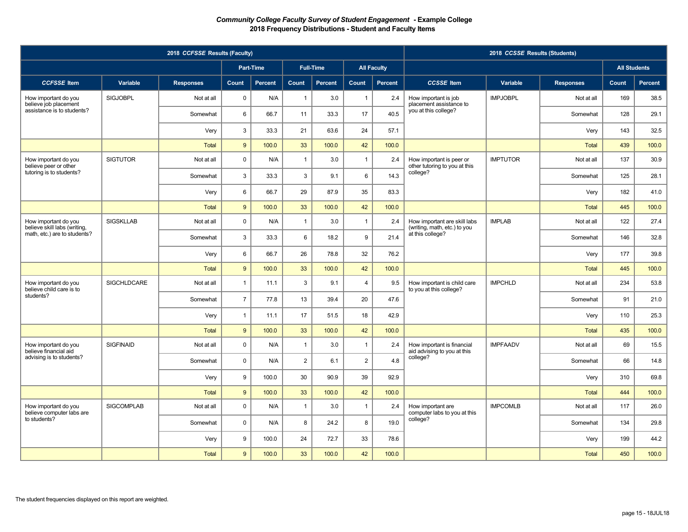| 2018 CCFSSE Results (Faculty)                                               |                    |                  |                |                  |                |                  |                |                    | 2018 CCSSE Results (Students)                                                    |                 |                  |       |                     |    |      |
|-----------------------------------------------------------------------------|--------------------|------------------|----------------|------------------|----------------|------------------|----------------|--------------------|----------------------------------------------------------------------------------|-----------------|------------------|-------|---------------------|----|------|
|                                                                             |                    |                  |                | <b>Part-Time</b> |                | <b>Full-Time</b> |                | <b>All Faculty</b> |                                                                                  |                 |                  |       | <b>All Students</b> |    |      |
| <b>CCFSSE</b> Item                                                          | Variable           | <b>Responses</b> | Count          | Percent          | Count          | Percent          | Count          | <b>Percent</b>     | <b>CCSSE</b> Item                                                                | Variable        | <b>Responses</b> | Count | <b>Percent</b>      |    |      |
| How important do you<br>believe job placement<br>assistance is to students? | <b>SIGJOBPL</b>    | Not at all       | $\mathsf 0$    | N/A              | $\mathbf{1}$   | 3.0              | $\overline{1}$ | 2.4                | How important is job<br>placement assistance to                                  | <b>IMPJOBPL</b> | Not at all       | 169   | 38.5                |    |      |
|                                                                             |                    | Somewhat         | 6              | 66.7             | 11             | 33.3             | 17             | 40.5               | you at this college?                                                             |                 | Somewhat         | 128   | 29.1                |    |      |
|                                                                             |                    | Very             | $\mathbf{3}$   | 33.3             | 21             | 63.6             | 24             | 57.1               |                                                                                  |                 | Very             | 143   | 32.5                |    |      |
|                                                                             |                    | Total            | 9              | 100.0            | 33             | 100.0            | 42             | 100.0              |                                                                                  |                 | <b>Total</b>     | 439   | 100.0               |    |      |
| How important do you<br>believe peer or other                               | <b>SIGTUTOR</b>    | Not at all       | $\mathbf 0$    | N/A              | $\mathbf{1}$   | 3.0              | $\overline{1}$ | 2.4                | How important is peer or<br>other tutoring to you at this                        | <b>IMPTUTOR</b> | Not at all       | 137   | 30.9                |    |      |
| tutoring is to students?                                                    |                    | Somewhat         | $\mathbf{3}$   | 33.3             | 3              | 9.1              | 6              | 14.3               | college?                                                                         |                 | Somewhat         | 125   | 28.1                |    |      |
|                                                                             |                    | Very             | 6              | 66.7             | 29             | 87.9             | 35             | 83.3               |                                                                                  |                 | Very             | 182   | 41.0                |    |      |
|                                                                             |                    | Total            | 9              | 100.0            | 33             | 100.0            | 42             | 100.0              |                                                                                  |                 | <b>Total</b>     | 445   | 100.0               |    |      |
| How important do you<br>believe skill labs (writing,                        | <b>SIGSKLLAB</b>   | Not at all       | $\mathbf 0$    | N/A              | $\mathbf{1}$   | 3.0              | $\overline{1}$ | 2.4                | How important are skill labs<br>(writing, math, etc.) to you<br>at this college? | <b>IMPLAB</b>   | Not at all       | 122   | 27.4                |    |      |
| math, etc.) are to students?                                                |                    | Somewhat         | 3              | 33.3             | 6              | 18.2             | 9              | 21.4               |                                                                                  |                 | Somewhat         | 146   | 32.8                |    |      |
|                                                                             |                    | Very             | 6              | 66.7             | 26             | 78.8             | 32             | 76.2               |                                                                                  |                 | Very             | 177   | 39.8                |    |      |
|                                                                             |                    | Total            | 9              | 100.0            | 33             | 100.0            | 42             | 100.0              |                                                                                  |                 | <b>Total</b>     | 445   | 100.0               |    |      |
| How important do you<br>believe child care is to                            | <b>SIGCHLDCARE</b> | Not at all       | $\mathbf{1}$   | 11.1             | $\mathbf{3}$   | 9.1              | $\overline{4}$ | 9.5                | <b>IMPCHLD</b><br>How important is child care<br>to you at this college?         |                 | Not at all       | 234   | 53.8                |    |      |
| students?                                                                   |                    | Somewhat         | $\overline{7}$ | 77.8             | 13             | 39.4             | 20             | 47.6               |                                                                                  |                 | Somewhat         | 91    | 21.0                |    |      |
|                                                                             |                    | Very             | $\mathbf{1}$   | 11.1             | 17             | 51.5             | 18             | 42.9               |                                                                                  |                 | Very             | 110   | 25.3                |    |      |
|                                                                             |                    | Total            | 9              | 100.0            | 33             | 100.0            | 42             | 100.0              |                                                                                  |                 | <b>Total</b>     | 435   | 100.0               |    |      |
| How important do you<br>believe financial aid                               | <b>SIGFINAID</b>   | Not at all       | $\mathbf 0$    | N/A              | $\overline{1}$ | 3.0              | $\overline{1}$ | 2.4                | How important is financial<br>aid advising to you at this                        | <b>IMPFAADV</b> | Not at all       | 69    | 15.5                |    |      |
| advising is to students?                                                    |                    |                  |                | Somewhat         | $\mathbf 0$    | N/A              | $\overline{2}$ | 6.1                | $\overline{2}$                                                                   | 4.8             | college?         |       | Somewhat            | 66 | 14.8 |
|                                                                             |                    | Very             | 9              | 100.0            | 30             | 90.9             | 39             | 92.9               |                                                                                  |                 | Very             | 310   | 69.8                |    |      |
|                                                                             |                    | Total            | 9              | 100.0            | 33             | 100.0            | 42             | 100.0              |                                                                                  |                 | <b>Total</b>     | 444   | 100.0               |    |      |
| How important do you<br>believe computer labs are                           | <b>SIGCOMPLAB</b>  | Not at all       | $\mathbf 0$    | N/A              | $\mathbf{1}$   | 3.0              | $\overline{1}$ | 2.4                | How important are<br>computer labs to you at this<br>college?                    | <b>IMPCOMLB</b> | Not at all       | 117   | 26.0                |    |      |
| to students?                                                                |                    | Somewhat         | $\mathbf 0$    | N/A              | 8              | 24.2             | 8              | 19.0               |                                                                                  |                 | Somewhat         | 134   | 29.8                |    |      |
|                                                                             |                    | Very             | 9              | 100.0            | 24             | 72.7             | 33             | 78.6               |                                                                                  |                 | Very             | 199   | 44.2                |    |      |
|                                                                             |                    | Total            | 9              | 100.0            | 33             | 100.0            | 42             | 100.0              |                                                                                  |                 | Total            | 450   | 100.0               |    |      |